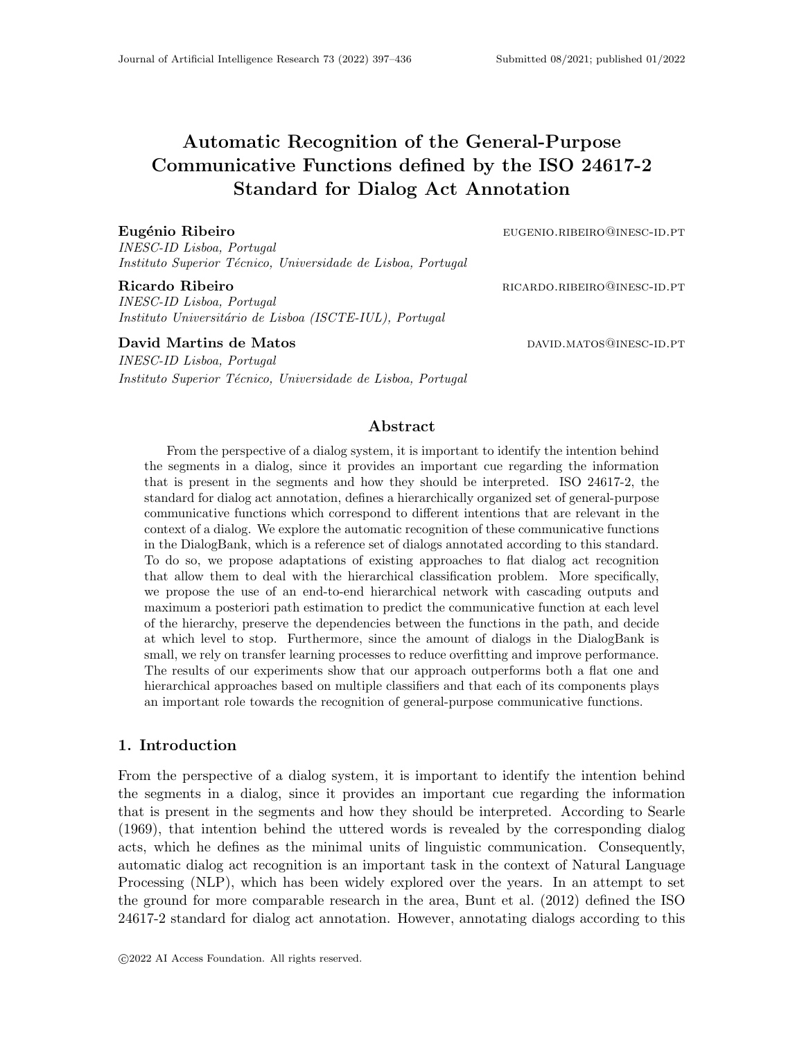INESC-ID Lisboa, Portugal Instituto Superior Técnico, Universidade de Lisboa, Portugal

INESC-ID Lisboa, Portugal Instituto Universitário de Lisboa (ISCTE-IUL), Portugal

David Martins de Matos david bay David.matos@inesc-id.pt

INESC-ID Lisboa, Portugal Instituto Superior Técnico, Universidade de Lisboa, Portugal

# Abstract

Automatic Recognition of the General-Purpose

Standard for Dialog Act Annotation

From the perspective of a dialog system, it is important to identify the intention behind the segments in a dialog, since it provides an important cue regarding the information that is present in the segments and how they should be interpreted. ISO 24617-2, the standard for dialog act annotation, defines a hierarchically organized set of general-purpose communicative functions which correspond to different intentions that are relevant in the context of a dialog. We explore the automatic recognition of these communicative functions in the DialogBank, which is a reference set of dialogs annotated according to this standard. To do so, we propose adaptations of existing approaches to flat dialog act recognition that allow them to deal with the hierarchical classification problem. More specifically, we propose the use of an end-to-end hierarchical network with cascading outputs and maximum a posteriori path estimation to predict the communicative function at each level of the hierarchy, preserve the dependencies between the functions in the path, and decide at which level to stop. Furthermore, since the amount of dialogs in the DialogBank is small, we rely on transfer learning processes to reduce overfitting and improve performance. The results of our experiments show that our approach outperforms both a flat one and hierarchical approaches based on multiple classifiers and that each of its components plays an important role towards the recognition of general-purpose communicative functions.

# 1. Introduction

From the perspective of a dialog system, it is important to identify the intention behind the segments in a dialog, since it provides an important cue regarding the information that is present in the segments and how they should be interpreted. According to Searle (1969), that intention behind the uttered words is revealed by the corresponding dialog acts, which he defines as the minimal units of linguistic communication. Consequently, automatic dialog act recognition is an important task in the context of Natural Language Processing (NLP), which has been widely explored over the years. In an attempt to set the ground for more comparable research in the area, Bunt et al. (2012) defined the ISO 24617-2 standard for dialog act annotation. However, annotating dialogs according to this

Eugénio Ribeiro eugenio.ribeiro eugenio.ribeiro eugenio.ribeiro eugenio.ribeiro eugenio.ribeiro eugenio.ribeir

Ricardo Ribeiro **ricardo.** RICARDO.RIBEIRO@INESC-ID.PT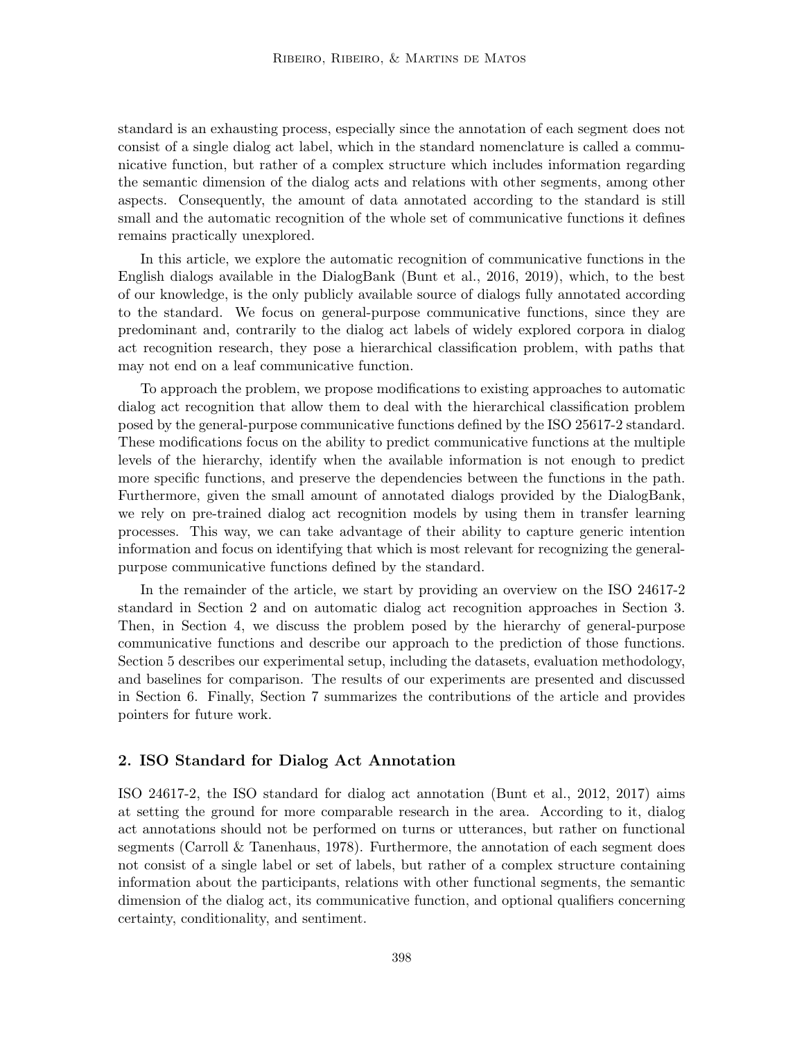standard is an exhausting process, especially since the annotation of each segment does not consist of a single dialog act label, which in the standard nomenclature is called a communicative function, but rather of a complex structure which includes information regarding the semantic dimension of the dialog acts and relations with other segments, among other aspects. Consequently, the amount of data annotated according to the standard is still small and the automatic recognition of the whole set of communicative functions it defines remains practically unexplored.

In this article, we explore the automatic recognition of communicative functions in the English dialogs available in the DialogBank (Bunt et al., 2016, 2019), which, to the best of our knowledge, is the only publicly available source of dialogs fully annotated according to the standard. We focus on general-purpose communicative functions, since they are predominant and, contrarily to the dialog act labels of widely explored corpora in dialog act recognition research, they pose a hierarchical classification problem, with paths that may not end on a leaf communicative function.

To approach the problem, we propose modifications to existing approaches to automatic dialog act recognition that allow them to deal with the hierarchical classification problem posed by the general-purpose communicative functions defined by the ISO 25617-2 standard. These modifications focus on the ability to predict communicative functions at the multiple levels of the hierarchy, identify when the available information is not enough to predict more specific functions, and preserve the dependencies between the functions in the path. Furthermore, given the small amount of annotated dialogs provided by the DialogBank, we rely on pre-trained dialog act recognition models by using them in transfer learning processes. This way, we can take advantage of their ability to capture generic intention information and focus on identifying that which is most relevant for recognizing the generalpurpose communicative functions defined by the standard.

In the remainder of the article, we start by providing an overview on the ISO 24617-2 standard in Section 2 and on automatic dialog act recognition approaches in Section 3. Then, in Section 4, we discuss the problem posed by the hierarchy of general-purpose communicative functions and describe our approach to the prediction of those functions. Section 5 describes our experimental setup, including the datasets, evaluation methodology, and baselines for comparison. The results of our experiments are presented and discussed in Section 6. Finally, Section 7 summarizes the contributions of the article and provides pointers for future work.

## 2. ISO Standard for Dialog Act Annotation

ISO 24617-2, the ISO standard for dialog act annotation (Bunt et al., 2012, 2017) aims at setting the ground for more comparable research in the area. According to it, dialog act annotations should not be performed on turns or utterances, but rather on functional segments (Carroll & Tanenhaus, 1978). Furthermore, the annotation of each segment does not consist of a single label or set of labels, but rather of a complex structure containing information about the participants, relations with other functional segments, the semantic dimension of the dialog act, its communicative function, and optional qualifiers concerning certainty, conditionality, and sentiment.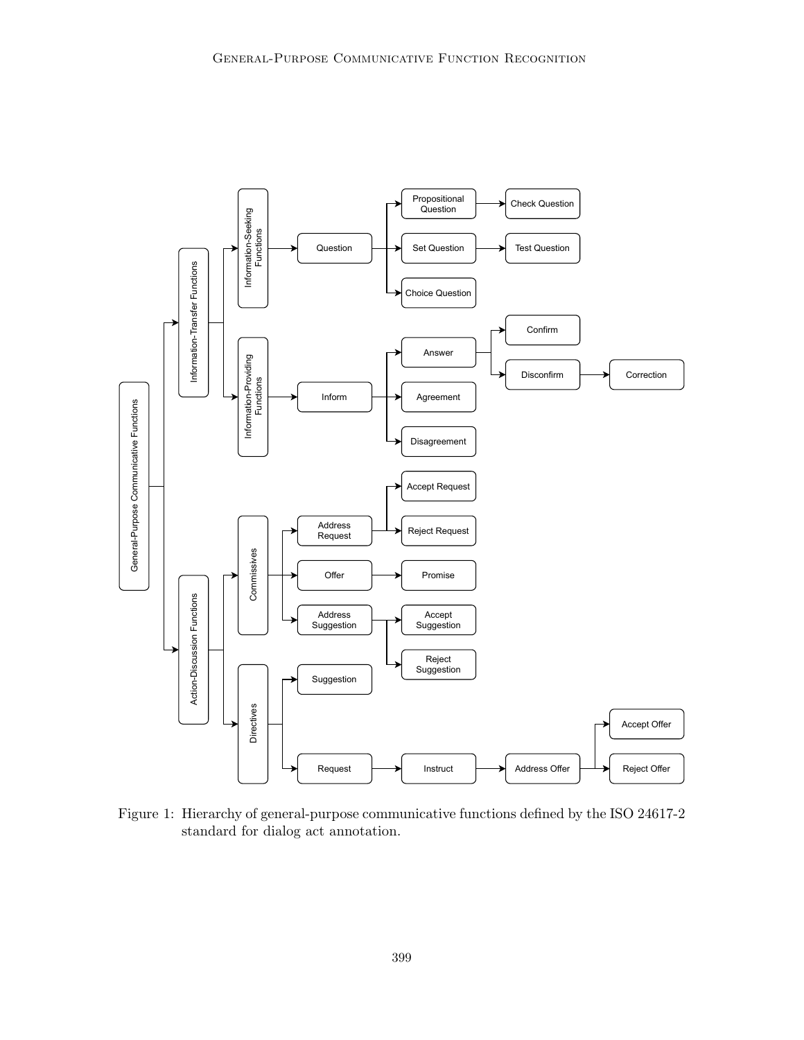

Figure 1: Hierarchy of general-purpose communicative functions defined by the ISO 24617-2 standard for dialog act annotation.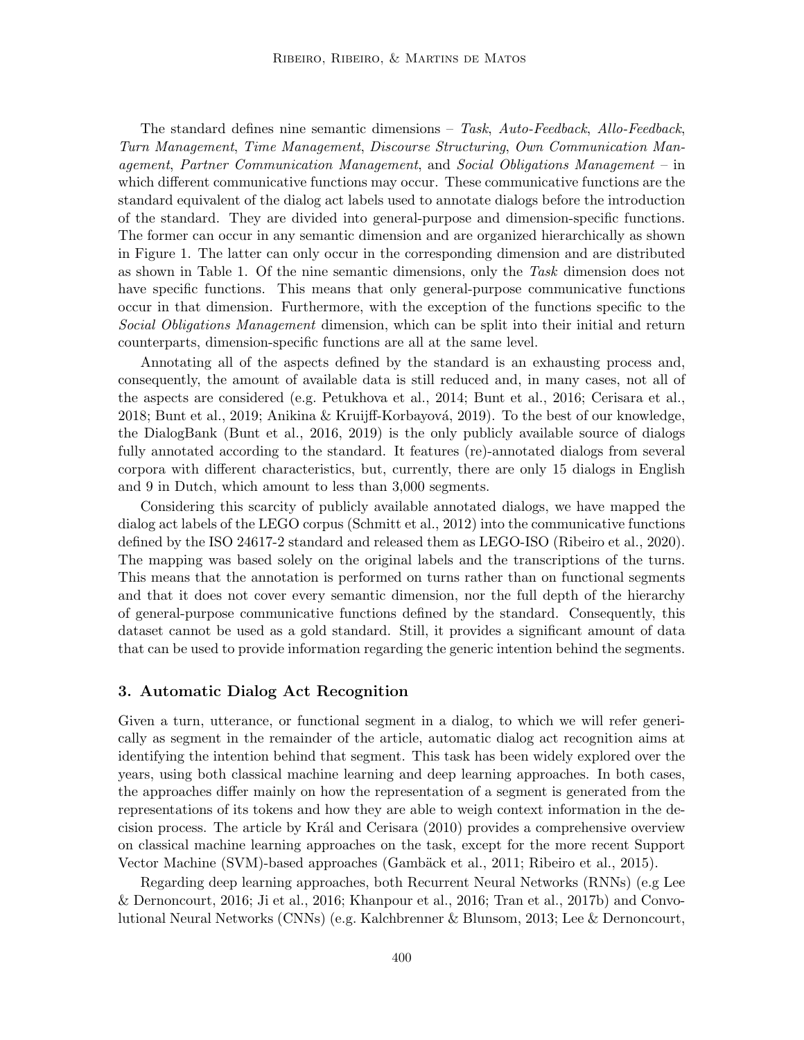The standard defines nine semantic dimensions – Task, Auto-Feedback, Allo-Feedback, Turn Management, Time Management, Discourse Structuring, Own Communication Management, Partner Communication Management, and Social Obligations Management – in which different communicative functions may occur. These communicative functions are the standard equivalent of the dialog act labels used to annotate dialogs before the introduction of the standard. They are divided into general-purpose and dimension-specific functions. The former can occur in any semantic dimension and are organized hierarchically as shown in Figure 1. The latter can only occur in the corresponding dimension and are distributed as shown in Table 1. Of the nine semantic dimensions, only the Task dimension does not have specific functions. This means that only general-purpose communicative functions occur in that dimension. Furthermore, with the exception of the functions specific to the Social Obligations Management dimension, which can be split into their initial and return counterparts, dimension-specific functions are all at the same level.

Annotating all of the aspects defined by the standard is an exhausting process and, consequently, the amount of available data is still reduced and, in many cases, not all of the aspects are considered (e.g. Petukhova et al., 2014; Bunt et al., 2016; Cerisara et al., 2018; Bunt et al., 2019; Anikina & Kruijff-Korbayová, 2019). To the best of our knowledge, the DialogBank (Bunt et al., 2016, 2019) is the only publicly available source of dialogs fully annotated according to the standard. It features (re)-annotated dialogs from several corpora with different characteristics, but, currently, there are only 15 dialogs in English and 9 in Dutch, which amount to less than 3,000 segments.

Considering this scarcity of publicly available annotated dialogs, we have mapped the dialog act labels of the LEGO corpus (Schmitt et al., 2012) into the communicative functions defined by the ISO 24617-2 standard and released them as LEGO-ISO (Ribeiro et al., 2020). The mapping was based solely on the original labels and the transcriptions of the turns. This means that the annotation is performed on turns rather than on functional segments and that it does not cover every semantic dimension, nor the full depth of the hierarchy of general-purpose communicative functions defined by the standard. Consequently, this dataset cannot be used as a gold standard. Still, it provides a significant amount of data that can be used to provide information regarding the generic intention behind the segments.

# 3. Automatic Dialog Act Recognition

Given a turn, utterance, or functional segment in a dialog, to which we will refer generically as segment in the remainder of the article, automatic dialog act recognition aims at identifying the intention behind that segment. This task has been widely explored over the years, using both classical machine learning and deep learning approaches. In both cases, the approaches differ mainly on how the representation of a segment is generated from the representations of its tokens and how they are able to weigh context information in the decision process. The article by Kr´al and Cerisara (2010) provides a comprehensive overview on classical machine learning approaches on the task, except for the more recent Support Vector Machine (SVM)-based approaches (Gambäck et al., 2011; Ribeiro et al., 2015).

Regarding deep learning approaches, both Recurrent Neural Networks (RNNs) (e.g Lee & Dernoncourt, 2016; Ji et al., 2016; Khanpour et al., 2016; Tran et al., 2017b) and Convolutional Neural Networks (CNNs) (e.g. Kalchbrenner & Blunsom, 2013; Lee & Dernoncourt,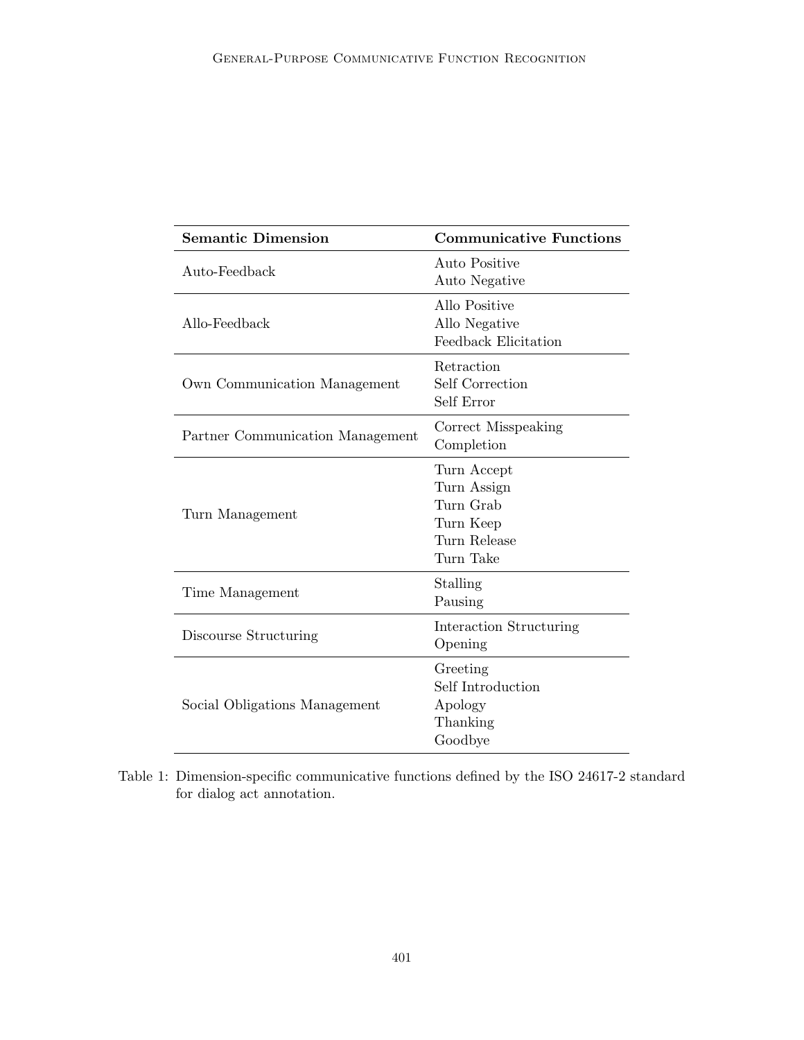| <b>Semantic Dimension</b>        | <b>Communicative Functions</b>                                                    |
|----------------------------------|-----------------------------------------------------------------------------------|
| Auto-Feedback                    | <b>Auto Positive</b><br>Auto Negative                                             |
| Allo-Feedback                    | Allo Positive<br>Allo Negative<br>Feedback Elicitation                            |
| Own Communication Management     | Retraction<br>Self Correction<br>Self Error                                       |
| Partner Communication Management | Correct Misspeaking<br>Completion                                                 |
| Turn Management                  | Turn Accept<br>Turn Assign<br>Turn Grab<br>Turn Keep<br>Turn Release<br>Turn Take |
| Time Management                  | Stalling<br>Pausing                                                               |
| Discourse Structuring            | Interaction Structuring<br>Opening                                                |
| Social Obligations Management    | Greeting<br>Self Introduction<br>Apology<br>Thanking<br>Goodbye                   |

Table 1: Dimension-specific communicative functions defined by the ISO 24617-2 standard for dialog act annotation.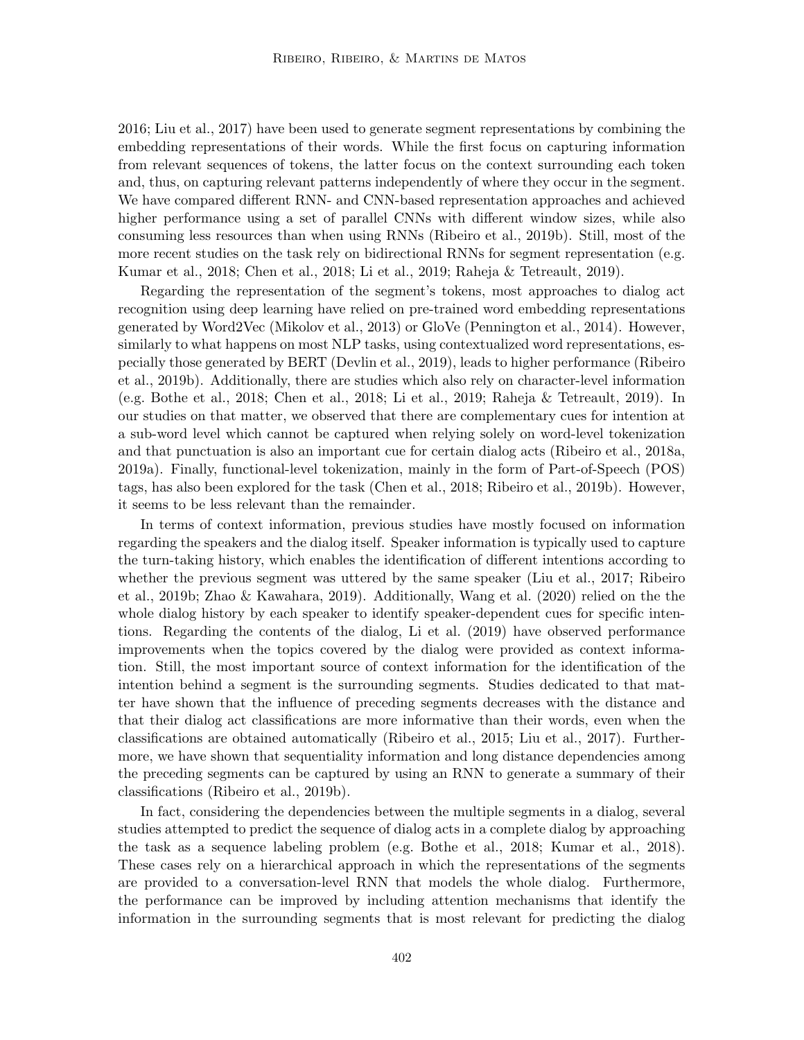2016; Liu et al., 2017) have been used to generate segment representations by combining the embedding representations of their words. While the first focus on capturing information from relevant sequences of tokens, the latter focus on the context surrounding each token and, thus, on capturing relevant patterns independently of where they occur in the segment. We have compared different RNN- and CNN-based representation approaches and achieved higher performance using a set of parallel CNNs with different window sizes, while also consuming less resources than when using RNNs (Ribeiro et al., 2019b). Still, most of the more recent studies on the task rely on bidirectional RNNs for segment representation (e.g. Kumar et al., 2018; Chen et al., 2018; Li et al., 2019; Raheja & Tetreault, 2019).

Regarding the representation of the segment's tokens, most approaches to dialog act recognition using deep learning have relied on pre-trained word embedding representations generated by Word2Vec (Mikolov et al., 2013) or GloVe (Pennington et al., 2014). However, similarly to what happens on most NLP tasks, using contextualized word representations, especially those generated by BERT (Devlin et al., 2019), leads to higher performance (Ribeiro et al., 2019b). Additionally, there are studies which also rely on character-level information (e.g. Bothe et al., 2018; Chen et al., 2018; Li et al., 2019; Raheja & Tetreault, 2019). In our studies on that matter, we observed that there are complementary cues for intention at a sub-word level which cannot be captured when relying solely on word-level tokenization and that punctuation is also an important cue for certain dialog acts (Ribeiro et al., 2018a, 2019a). Finally, functional-level tokenization, mainly in the form of Part-of-Speech (POS) tags, has also been explored for the task (Chen et al., 2018; Ribeiro et al., 2019b). However, it seems to be less relevant than the remainder.

In terms of context information, previous studies have mostly focused on information regarding the speakers and the dialog itself. Speaker information is typically used to capture the turn-taking history, which enables the identification of different intentions according to whether the previous segment was uttered by the same speaker (Liu et al., 2017; Ribeiro et al., 2019b; Zhao & Kawahara, 2019). Additionally, Wang et al. (2020) relied on the the whole dialog history by each speaker to identify speaker-dependent cues for specific intentions. Regarding the contents of the dialog, Li et al. (2019) have observed performance improvements when the topics covered by the dialog were provided as context information. Still, the most important source of context information for the identification of the intention behind a segment is the surrounding segments. Studies dedicated to that matter have shown that the influence of preceding segments decreases with the distance and that their dialog act classifications are more informative than their words, even when the classifications are obtained automatically (Ribeiro et al., 2015; Liu et al., 2017). Furthermore, we have shown that sequentiality information and long distance dependencies among the preceding segments can be captured by using an RNN to generate a summary of their classifications (Ribeiro et al., 2019b).

In fact, considering the dependencies between the multiple segments in a dialog, several studies attempted to predict the sequence of dialog acts in a complete dialog by approaching the task as a sequence labeling problem (e.g. Bothe et al., 2018; Kumar et al., 2018). These cases rely on a hierarchical approach in which the representations of the segments are provided to a conversation-level RNN that models the whole dialog. Furthermore, the performance can be improved by including attention mechanisms that identify the information in the surrounding segments that is most relevant for predicting the dialog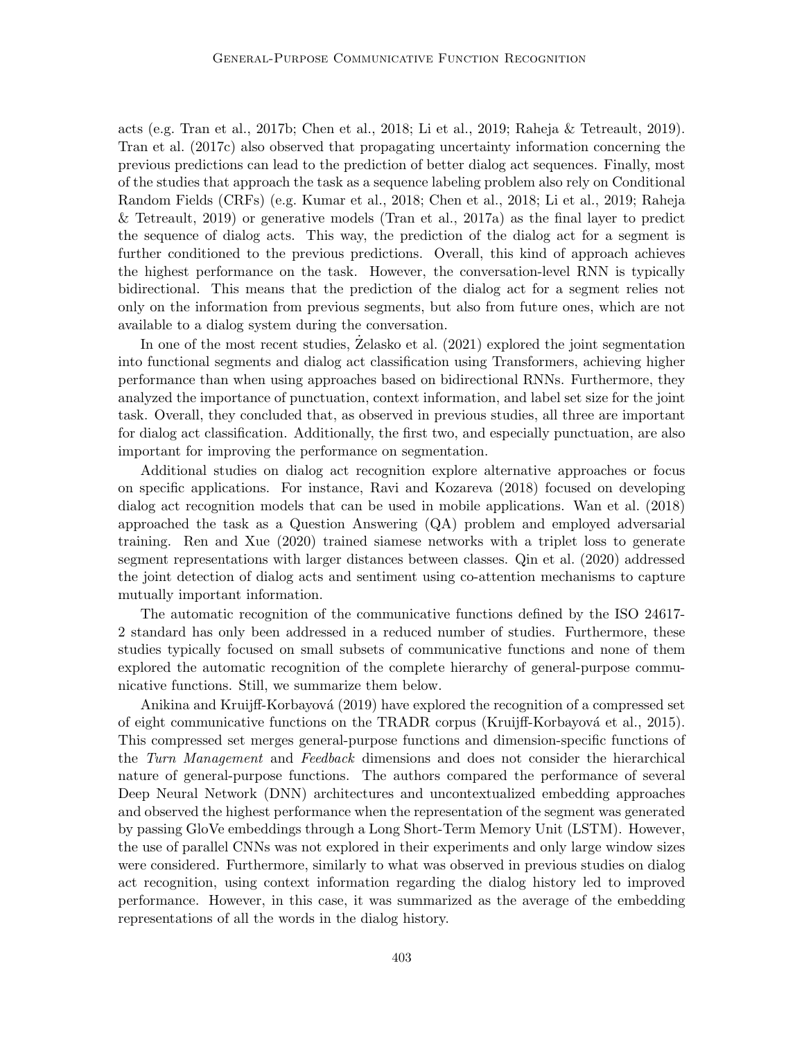acts (e.g. Tran et al., 2017b; Chen et al., 2018; Li et al., 2019; Raheja & Tetreault, 2019). Tran et al. (2017c) also observed that propagating uncertainty information concerning the previous predictions can lead to the prediction of better dialog act sequences. Finally, most of the studies that approach the task as a sequence labeling problem also rely on Conditional Random Fields (CRFs) (e.g. Kumar et al., 2018; Chen et al., 2018; Li et al., 2019; Raheja & Tetreault, 2019) or generative models (Tran et al., 2017a) as the final layer to predict the sequence of dialog acts. This way, the prediction of the dialog act for a segment is further conditioned to the previous predictions. Overall, this kind of approach achieves the highest performance on the task. However, the conversation-level RNN is typically bidirectional. This means that the prediction of the dialog act for a segment relies not only on the information from previous segments, but also from future ones, which are not available to a dialog system during the conversation.

In one of the most recent studies, Zelasko et al.  $(2021)$  explored the joint segmentation into functional segments and dialog act classification using Transformers, achieving higher performance than when using approaches based on bidirectional RNNs. Furthermore, they analyzed the importance of punctuation, context information, and label set size for the joint task. Overall, they concluded that, as observed in previous studies, all three are important for dialog act classification. Additionally, the first two, and especially punctuation, are also important for improving the performance on segmentation.

Additional studies on dialog act recognition explore alternative approaches or focus on specific applications. For instance, Ravi and Kozareva (2018) focused on developing dialog act recognition models that can be used in mobile applications. Wan et al. (2018) approached the task as a Question Answering (QA) problem and employed adversarial training. Ren and Xue (2020) trained siamese networks with a triplet loss to generate segment representations with larger distances between classes. Qin et al. (2020) addressed the joint detection of dialog acts and sentiment using co-attention mechanisms to capture mutually important information.

The automatic recognition of the communicative functions defined by the ISO 24617- 2 standard has only been addressed in a reduced number of studies. Furthermore, these studies typically focused on small subsets of communicative functions and none of them explored the automatic recognition of the complete hierarchy of general-purpose communicative functions. Still, we summarize them below.

Anikina and Kruijff-Korbayová (2019) have explored the recognition of a compressed set of eight communicative functions on the TRADR corpus (Kruijff-Korbayová et al., 2015). This compressed set merges general-purpose functions and dimension-specific functions of the Turn Management and Feedback dimensions and does not consider the hierarchical nature of general-purpose functions. The authors compared the performance of several Deep Neural Network (DNN) architectures and uncontextualized embedding approaches and observed the highest performance when the representation of the segment was generated by passing GloVe embeddings through a Long Short-Term Memory Unit (LSTM). However, the use of parallel CNNs was not explored in their experiments and only large window sizes were considered. Furthermore, similarly to what was observed in previous studies on dialog act recognition, using context information regarding the dialog history led to improved performance. However, in this case, it was summarized as the average of the embedding representations of all the words in the dialog history.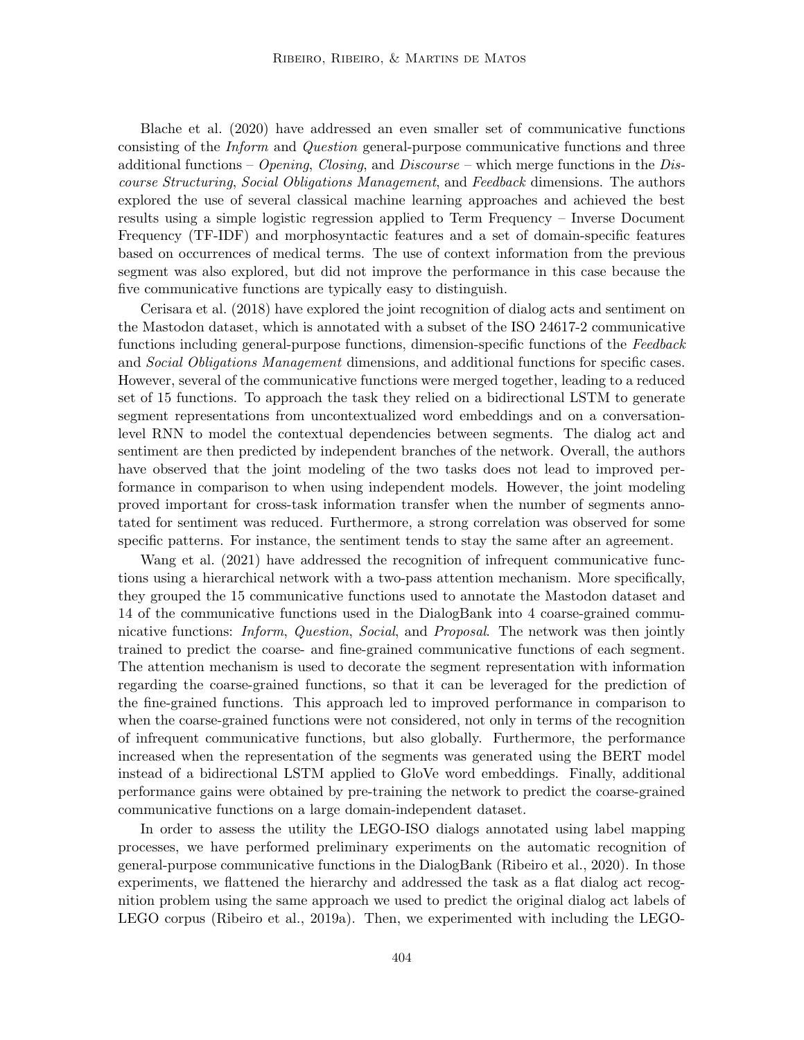Blache et al. (2020) have addressed an even smaller set of communicative functions consisting of the Inform and Question general-purpose communicative functions and three additional functions – Opening, Closing, and Discourse – which merge functions in the Discourse Structuring, Social Obligations Management, and Feedback dimensions. The authors explored the use of several classical machine learning approaches and achieved the best results using a simple logistic regression applied to Term Frequency – Inverse Document Frequency (TF-IDF) and morphosyntactic features and a set of domain-specific features based on occurrences of medical terms. The use of context information from the previous segment was also explored, but did not improve the performance in this case because the five communicative functions are typically easy to distinguish.

Cerisara et al. (2018) have explored the joint recognition of dialog acts and sentiment on the Mastodon dataset, which is annotated with a subset of the ISO 24617-2 communicative functions including general-purpose functions, dimension-specific functions of the Feedback and Social Obligations Management dimensions, and additional functions for specific cases. However, several of the communicative functions were merged together, leading to a reduced set of 15 functions. To approach the task they relied on a bidirectional LSTM to generate segment representations from uncontextualized word embeddings and on a conversationlevel RNN to model the contextual dependencies between segments. The dialog act and sentiment are then predicted by independent branches of the network. Overall, the authors have observed that the joint modeling of the two tasks does not lead to improved performance in comparison to when using independent models. However, the joint modeling proved important for cross-task information transfer when the number of segments annotated for sentiment was reduced. Furthermore, a strong correlation was observed for some specific patterns. For instance, the sentiment tends to stay the same after an agreement.

Wang et al. (2021) have addressed the recognition of infrequent communicative functions using a hierarchical network with a two-pass attention mechanism. More specifically, they grouped the 15 communicative functions used to annotate the Mastodon dataset and 14 of the communicative functions used in the DialogBank into 4 coarse-grained communicative functions: *Inform, Question, Social*, and *Proposal*. The network was then jointly trained to predict the coarse- and fine-grained communicative functions of each segment. The attention mechanism is used to decorate the segment representation with information regarding the coarse-grained functions, so that it can be leveraged for the prediction of the fine-grained functions. This approach led to improved performance in comparison to when the coarse-grained functions were not considered, not only in terms of the recognition of infrequent communicative functions, but also globally. Furthermore, the performance increased when the representation of the segments was generated using the BERT model instead of a bidirectional LSTM applied to GloVe word embeddings. Finally, additional performance gains were obtained by pre-training the network to predict the coarse-grained communicative functions on a large domain-independent dataset.

In order to assess the utility the LEGO-ISO dialogs annotated using label mapping processes, we have performed preliminary experiments on the automatic recognition of general-purpose communicative functions in the DialogBank (Ribeiro et al., 2020). In those experiments, we flattened the hierarchy and addressed the task as a flat dialog act recognition problem using the same approach we used to predict the original dialog act labels of LEGO corpus (Ribeiro et al., 2019a). Then, we experimented with including the LEGO-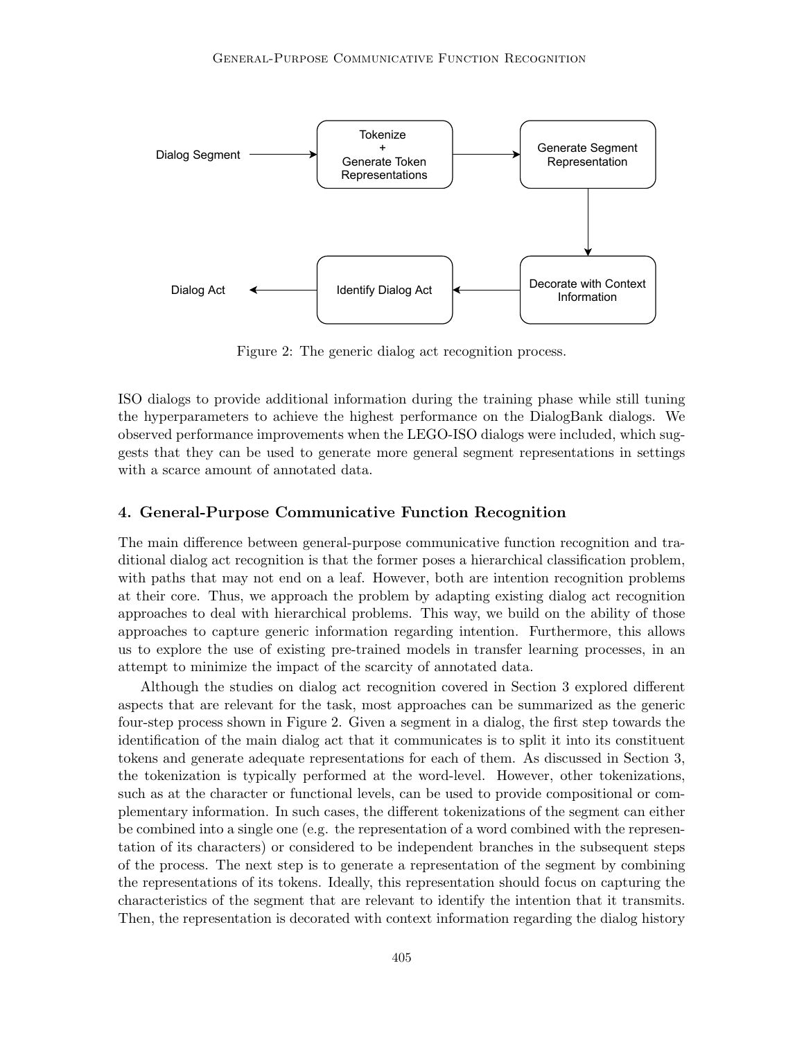

Figure 2: The generic dialog act recognition process.

ISO dialogs to provide additional information during the training phase while still tuning the hyperparameters to achieve the highest performance on the DialogBank dialogs. We observed performance improvements when the LEGO-ISO dialogs were included, which suggests that they can be used to generate more general segment representations in settings with a scarce amount of annotated data.

# 4. General-Purpose Communicative Function Recognition

The main difference between general-purpose communicative function recognition and traditional dialog act recognition is that the former poses a hierarchical classification problem, with paths that may not end on a leaf. However, both are intention recognition problems at their core. Thus, we approach the problem by adapting existing dialog act recognition approaches to deal with hierarchical problems. This way, we build on the ability of those approaches to capture generic information regarding intention. Furthermore, this allows us to explore the use of existing pre-trained models in transfer learning processes, in an attempt to minimize the impact of the scarcity of annotated data.

Although the studies on dialog act recognition covered in Section 3 explored different aspects that are relevant for the task, most approaches can be summarized as the generic four-step process shown in Figure 2. Given a segment in a dialog, the first step towards the identification of the main dialog act that it communicates is to split it into its constituent tokens and generate adequate representations for each of them. As discussed in Section 3, the tokenization is typically performed at the word-level. However, other tokenizations, such as at the character or functional levels, can be used to provide compositional or complementary information. In such cases, the different tokenizations of the segment can either be combined into a single one (e.g. the representation of a word combined with the representation of its characters) or considered to be independent branches in the subsequent steps of the process. The next step is to generate a representation of the segment by combining the representations of its tokens. Ideally, this representation should focus on capturing the characteristics of the segment that are relevant to identify the intention that it transmits. Then, the representation is decorated with context information regarding the dialog history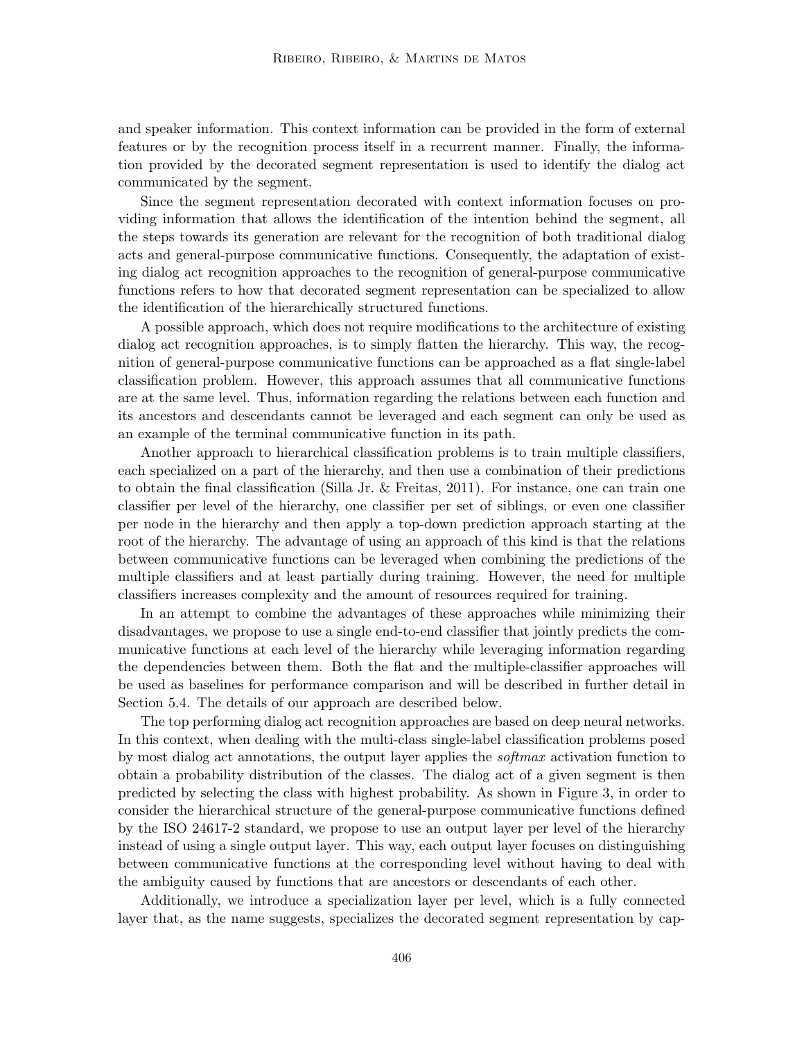and speaker information. This context information can be provided in the form of external features or by the recognition process itself in a recurrent manner. Finally, the information provided by the decorated segment representation is used to identify the dialog act communicated by the segment.

Since the segment representation decorated with context information focuses on providing information that allows the identification of the intention behind the segment, all the steps towards its generation are relevant for the recognition of both traditional dialog acts and general-purpose communicative functions. Consequently, the adaptation of existing dialog act recognition approaches to the recognition of general-purpose communicative functions refers to how that decorated segment representation can be specialized to allow the identification of the hierarchically structured functions.

A possible approach, which does not require modifications to the architecture of existing dialog act recognition approaches, is to simply flatten the hierarchy. This way, the recognition of general-purpose communicative functions can be approached as a flat single-label classification problem. However, this approach assumes that all communicative functions are at the same level. Thus, information regarding the relations between each function and its ancestors and descendants cannot be leveraged and each segment can only be used as an example of the terminal communicative function in its path.

Another approach to hierarchical classification problems is to train multiple classifiers, each specialized on a part of the hierarchy, and then use a combination of their predictions to obtain the final classification (Silla Jr. & Freitas, 2011). For instance, one can train one classifier per level of the hierarchy, one classifier per set of siblings, or even one classifier per node in the hierarchy and then apply a top-down prediction approach starting at the root of the hierarchy. The advantage of using an approach of this kind is that the relations between communicative functions can be leveraged when combining the predictions of the multiple classifiers and at least partially during training. However, the need for multiple classifiers increases complexity and the amount of resources required for training.

In an attempt to combine the advantages of these approaches while minimizing their disadvantages, we propose to use a single end-to-end classifier that jointly predicts the communicative functions at each level of the hierarchy while leveraging information regarding the dependencies between them. Both the flat and the multiple-classifier approaches will be used as baselines for performance comparison and will be described in further detail in Section 5.4. The details of our approach are described below.

The top performing dialog act recognition approaches are based on deep neural networks. In this context, when dealing with the multi-class single-label classification problems posed by most dialog act annotations, the output layer applies the *softmax* activation function to obtain a probability distribution of the classes. The dialog act of a given segment is then predicted by selecting the class with highest probability. As shown in Figure 3, in order to consider the hierarchical structure of the general-purpose communicative functions defined by the ISO 24617-2 standard, we propose to use an output layer per level of the hierarchy instead of using a single output layer. This way, each output layer focuses on distinguishing between communicative functions at the corresponding level without having to deal with the ambiguity caused by functions that are ancestors or descendants of each other.

Additionally, we introduce a specialization layer per level, which is a fully connected layer that, as the name suggests, specializes the decorated segment representation by cap-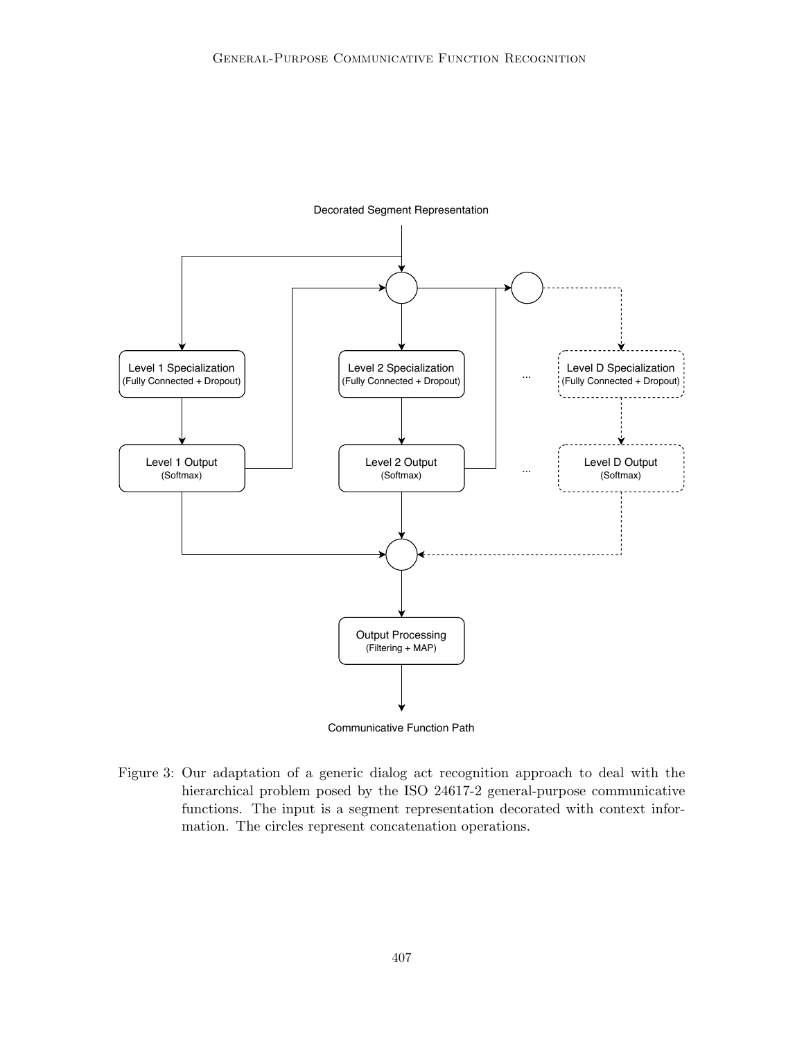

Communicative Function Path

Figure 3: Our adaptation of a generic dialog act recognition approach to deal with the hierarchical problem posed by the ISO 24617-2 general-purpose communicative functions. The input is a segment representation decorated with context information. The circles represent concatenation operations.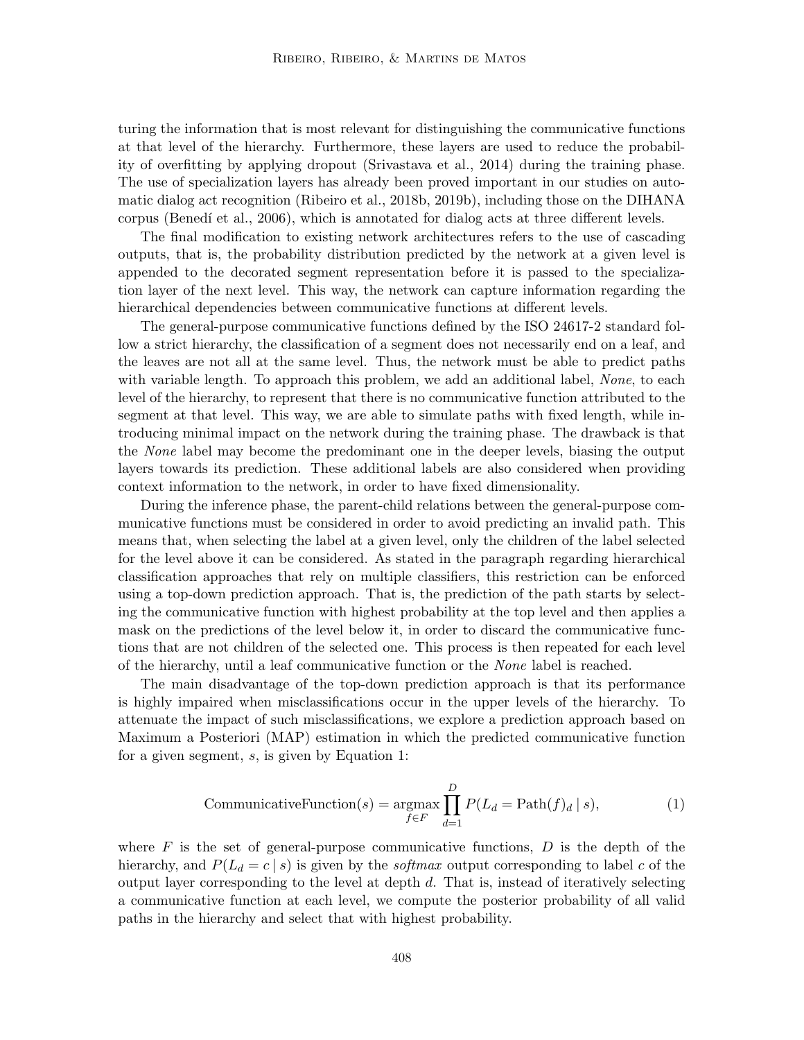turing the information that is most relevant for distinguishing the communicative functions at that level of the hierarchy. Furthermore, these layers are used to reduce the probability of overfitting by applying dropout (Srivastava et al., 2014) during the training phase. The use of specialization layers has already been proved important in our studies on automatic dialog act recognition (Ribeiro et al., 2018b, 2019b), including those on the DIHANA corpus (Benedí et al., 2006), which is annotated for dialog acts at three different levels.

The final modification to existing network architectures refers to the use of cascading outputs, that is, the probability distribution predicted by the network at a given level is appended to the decorated segment representation before it is passed to the specialization layer of the next level. This way, the network can capture information regarding the hierarchical dependencies between communicative functions at different levels.

The general-purpose communicative functions defined by the ISO 24617-2 standard follow a strict hierarchy, the classification of a segment does not necessarily end on a leaf, and the leaves are not all at the same level. Thus, the network must be able to predict paths with variable length. To approach this problem, we add an additional label, None, to each level of the hierarchy, to represent that there is no communicative function attributed to the segment at that level. This way, we are able to simulate paths with fixed length, while introducing minimal impact on the network during the training phase. The drawback is that the None label may become the predominant one in the deeper levels, biasing the output layers towards its prediction. These additional labels are also considered when providing context information to the network, in order to have fixed dimensionality.

During the inference phase, the parent-child relations between the general-purpose communicative functions must be considered in order to avoid predicting an invalid path. This means that, when selecting the label at a given level, only the children of the label selected for the level above it can be considered. As stated in the paragraph regarding hierarchical classification approaches that rely on multiple classifiers, this restriction can be enforced using a top-down prediction approach. That is, the prediction of the path starts by selecting the communicative function with highest probability at the top level and then applies a mask on the predictions of the level below it, in order to discard the communicative functions that are not children of the selected one. This process is then repeated for each level of the hierarchy, until a leaf communicative function or the None label is reached.

The main disadvantage of the top-down prediction approach is that its performance is highly impaired when misclassifications occur in the upper levels of the hierarchy. To attenuate the impact of such misclassifications, we explore a prediction approach based on Maximum a Posteriori (MAP) estimation in which the predicted communicative function for a given segment, s, is given by Equation 1:

$$
\text{CommunicativeFunction}(s) = \underset{f \in F}{\operatorname{argmax}} \prod_{d=1}^{D} P(L_d = \text{Path}(f)_d \mid s),\tag{1}
$$

where  $F$  is the set of general-purpose communicative functions,  $D$  is the depth of the hierarchy, and  $P(L_d = c \mid s)$  is given by the *softmax* output corresponding to label c of the output layer corresponding to the level at depth d. That is, instead of iteratively selecting a communicative function at each level, we compute the posterior probability of all valid paths in the hierarchy and select that with highest probability.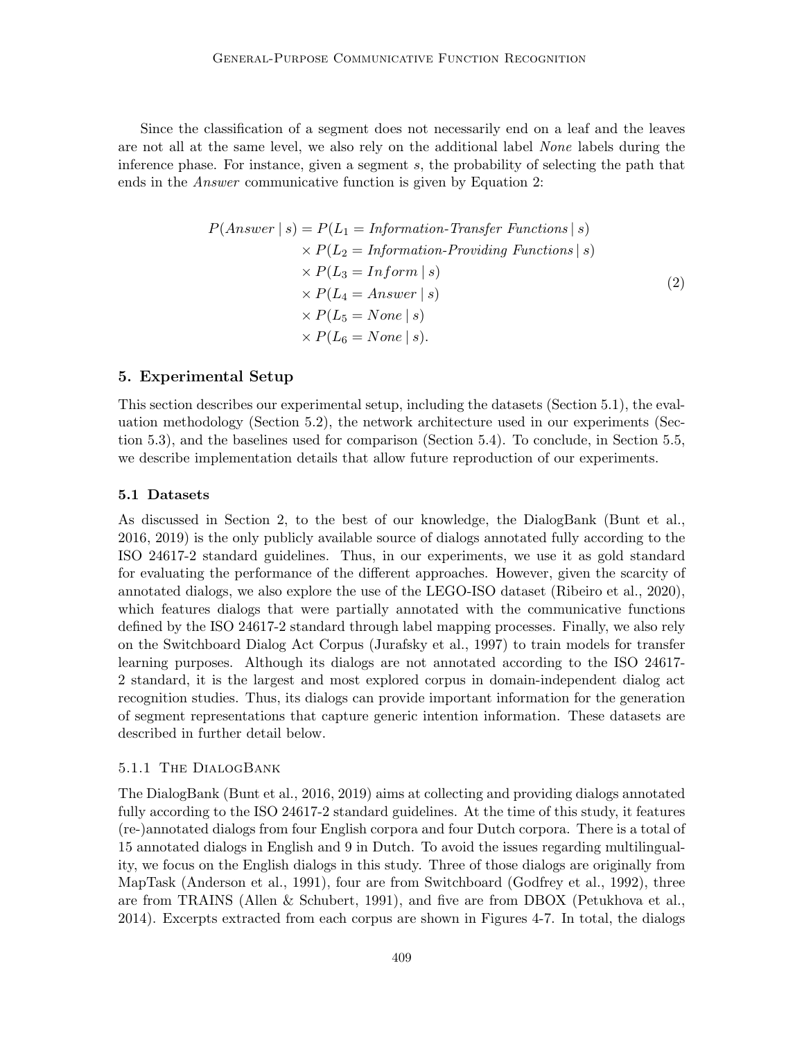Since the classification of a segment does not necessarily end on a leaf and the leaves are not all at the same level, we also rely on the additional label None labels during the inference phase. For instance, given a segment s, the probability of selecting the path that ends in the Answer communicative function is given by Equation 2:

$$
P(Answer \mid s) = P(L_1 = Information-Transfer\ Functions \mid s)
$$
  
\n
$$
\times P(L_2 = Information-Providing\ Functions \mid s)
$$
  
\n
$$
\times P(L_3 = Information \mid s)
$$
  
\n
$$
\times P(L_4 = Answer \mid s)
$$
  
\n
$$
\times P(L_5 = None \mid s)
$$
  
\n
$$
\times P(L_6 = None \mid s).
$$
  
\n(2)

# 5. Experimental Setup

This section describes our experimental setup, including the datasets (Section 5.1), the evaluation methodology (Section 5.2), the network architecture used in our experiments (Section 5.3), and the baselines used for comparison (Section 5.4). To conclude, in Section 5.5, we describe implementation details that allow future reproduction of our experiments.

### 5.1 Datasets

As discussed in Section 2, to the best of our knowledge, the DialogBank (Bunt et al., 2016, 2019) is the only publicly available source of dialogs annotated fully according to the ISO 24617-2 standard guidelines. Thus, in our experiments, we use it as gold standard for evaluating the performance of the different approaches. However, given the scarcity of annotated dialogs, we also explore the use of the LEGO-ISO dataset (Ribeiro et al., 2020), which features dialogs that were partially annotated with the communicative functions defined by the ISO 24617-2 standard through label mapping processes. Finally, we also rely on the Switchboard Dialog Act Corpus (Jurafsky et al., 1997) to train models for transfer learning purposes. Although its dialogs are not annotated according to the ISO 24617- 2 standard, it is the largest and most explored corpus in domain-independent dialog act recognition studies. Thus, its dialogs can provide important information for the generation of segment representations that capture generic intention information. These datasets are described in further detail below.

#### 5.1.1 The DialogBank

The DialogBank (Bunt et al., 2016, 2019) aims at collecting and providing dialogs annotated fully according to the ISO 24617-2 standard guidelines. At the time of this study, it features (re-)annotated dialogs from four English corpora and four Dutch corpora. There is a total of 15 annotated dialogs in English and 9 in Dutch. To avoid the issues regarding multilinguality, we focus on the English dialogs in this study. Three of those dialogs are originally from MapTask (Anderson et al., 1991), four are from Switchboard (Godfrey et al., 1992), three are from TRAINS (Allen & Schubert, 1991), and five are from DBOX (Petukhova et al., 2014). Excerpts extracted from each corpus are shown in Figures 4-7. In total, the dialogs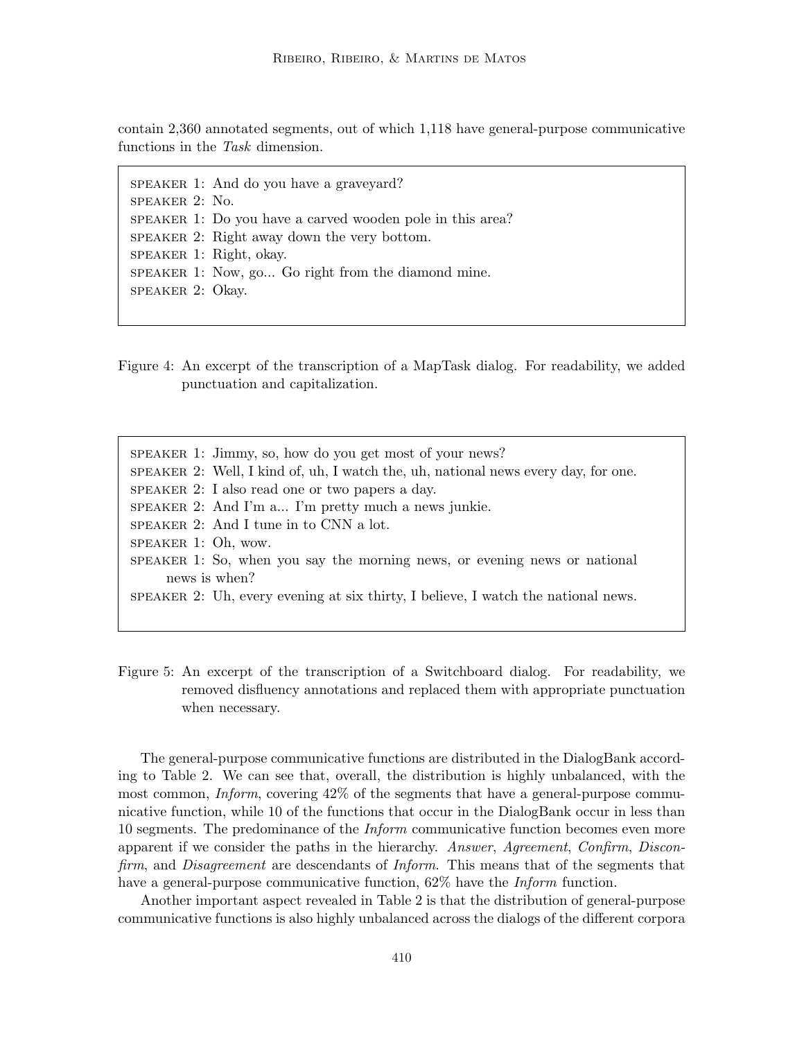contain 2,360 annotated segments, out of which 1,118 have general-purpose communicative functions in the Task dimension.

speaker 1: And do you have a graveyard? speaker 2: No. speaker 1: Do you have a carved wooden pole in this area? speaker 2: Right away down the very bottom. speaker 1: Right, okay. speaker 1: Now, go... Go right from the diamond mine. speaker 2: Okay.

Figure 4: An excerpt of the transcription of a MapTask dialog. For readability, we added punctuation and capitalization.

speaker 1: Jimmy, so, how do you get most of your news? speaker 2: Well, I kind of, uh, I watch the, uh, national news every day, for one. speaker 2: I also read one or two papers a day. speaker 2: And I'm a... I'm pretty much a news junkie. speaker 2: And I tune in to CNN a lot. speaker 1: Oh, wow. speaker 1: So, when you say the morning news, or evening news or national news is when? speaker 2: Uh, every evening at six thirty, I believe, I watch the national news.

Figure 5: An excerpt of the transcription of a Switchboard dialog. For readability, we removed disfluency annotations and replaced them with appropriate punctuation when necessary.

The general-purpose communicative functions are distributed in the DialogBank according to Table 2. We can see that, overall, the distribution is highly unbalanced, with the most common, *Inform*, covering 42% of the segments that have a general-purpose communicative function, while 10 of the functions that occur in the DialogBank occur in less than 10 segments. The predominance of the Inform communicative function becomes even more apparent if we consider the paths in the hierarchy. Answer, Agreement, Confirm, Disconfirm, and *Disagreement* are descendants of *Inform*. This means that of the segments that have a general-purpose communicative function, 62% have the *Inform* function.

Another important aspect revealed in Table 2 is that the distribution of general-purpose communicative functions is also highly unbalanced across the dialogs of the different corpora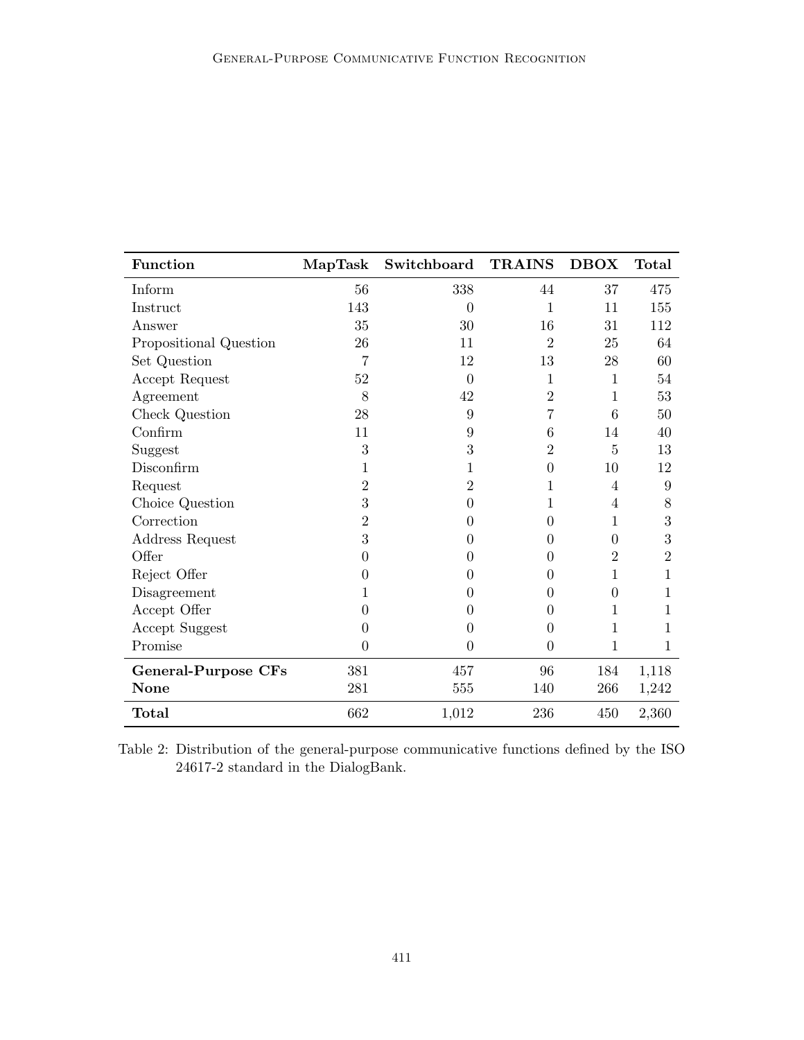| <b>Function</b>            | MapTask          | Switchboard    | <b>TRAINS</b>  | <b>DBOX</b>      | <b>Total</b>   |
|----------------------------|------------------|----------------|----------------|------------------|----------------|
| Inform                     | 56               | 338            | 44             | 37               | 475            |
| Instruct                   | 143              | $\Omega$       | 1              | 11               | 155            |
| Answer                     | 35               | 30             | 16             | 31               | 112            |
| Propositional Question     | 26               | 11             | $\overline{2}$ | 25               | 64             |
| Set Question               | 7                | 12             | 13             | 28               | 60             |
| Accept Request             | $52\,$           | $\theta$       | $\mathbf{1}$   | $\mathbf 1$      | 54             |
| Agreement                  | 8                | 42             | $\overline{2}$ | $\mathbf{1}$     | 53             |
| Check Question             | 28               | 9              | 7              | 6                | 50             |
| Confirm                    | 11               | 9              | 6              | 14               | 40             |
| Suggest                    | 3                | 3              | $\overline{2}$ | 5                | 13             |
| Disconfirm                 | 1                | 1              | $\overline{0}$ | 10               | 12             |
| Request                    | $\overline{2}$   | 2              | 1              | $\overline{4}$   | 9              |
| Choice Question            | $\boldsymbol{3}$ | $\theta$       | 1              | 4                | 8              |
| Correction                 | $\overline{2}$   | 0              | $\theta$       | 1                | 3              |
| Address Request            | 3                | 0              | 0              | $\Omega$         | 3              |
| Offer                      | $\boldsymbol{0}$ | 0              | 0              | $\overline{2}$   | $\overline{2}$ |
| Reject Offer               | 0                | 0              | 0              | 1                | 1              |
| Disagreement               | 1                | 0              | 0              | $\boldsymbol{0}$ | 1              |
| Accept Offer               | $\theta$         | 0              | 0              | 1                | 1              |
| Accept Suggest             | $\overline{0}$   | $\theta$       | 0              | 1                | 1              |
| Promise                    | $\overline{0}$   | $\overline{0}$ | $\overline{0}$ | 1                | 1              |
| <b>General-Purpose CFs</b> | 381              | 457            | 96             | 184              | 1,118          |
| <b>None</b>                | 281              | 555            | 140            | 266              | 1,242          |
| Total                      | 662              | 1,012          | 236            | 450              | 2,360          |

Table 2: Distribution of the general-purpose communicative functions defined by the ISO 24617-2 standard in the DialogBank.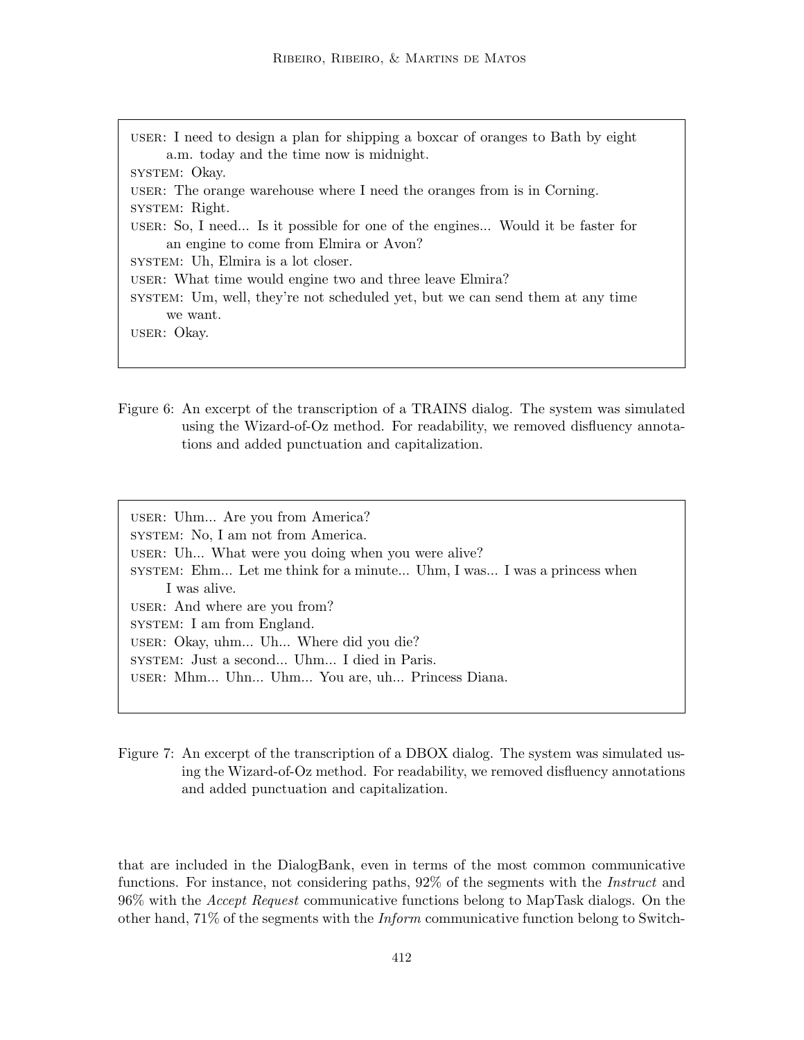- user: I need to design a plan for shipping a boxcar of oranges to Bath by eight a.m. today and the time now is midnight. system: Okay. user: The orange warehouse where I need the oranges from is in Corning. system: Right. user: So, I need... Is it possible for one of the engines... Would it be faster for an engine to come from Elmira or Avon? system: Uh, Elmira is a lot closer. user: What time would engine two and three leave Elmira? system: Um, well, they're not scheduled yet, but we can send them at any time we want. user: Okay.
- Figure 6: An excerpt of the transcription of a TRAINS dialog. The system was simulated using the Wizard-of-Oz method. For readability, we removed disfluency annotations and added punctuation and capitalization.

user: Uhm... Are you from America? SYSTEM: No, I am not from America. user: Uh... What were you doing when you were alive? system: Ehm... Let me think for a minute... Uhm, I was... I was a princess when I was alive. user: And where are you from? system: I am from England. user: Okay, uhm... Uh... Where did you die? system: Just a second... Uhm... I died in Paris. user: Mhm... Uhn... Uhm... You are, uh... Princess Diana.

Figure 7: An excerpt of the transcription of a DBOX dialog. The system was simulated using the Wizard-of-Oz method. For readability, we removed disfluency annotations and added punctuation and capitalization.

that are included in the DialogBank, even in terms of the most common communicative functions. For instance, not considering paths, 92% of the segments with the Instruct and 96% with the Accept Request communicative functions belong to MapTask dialogs. On the other hand,  $71\%$  of the segments with the *Inform* communicative function belong to Switch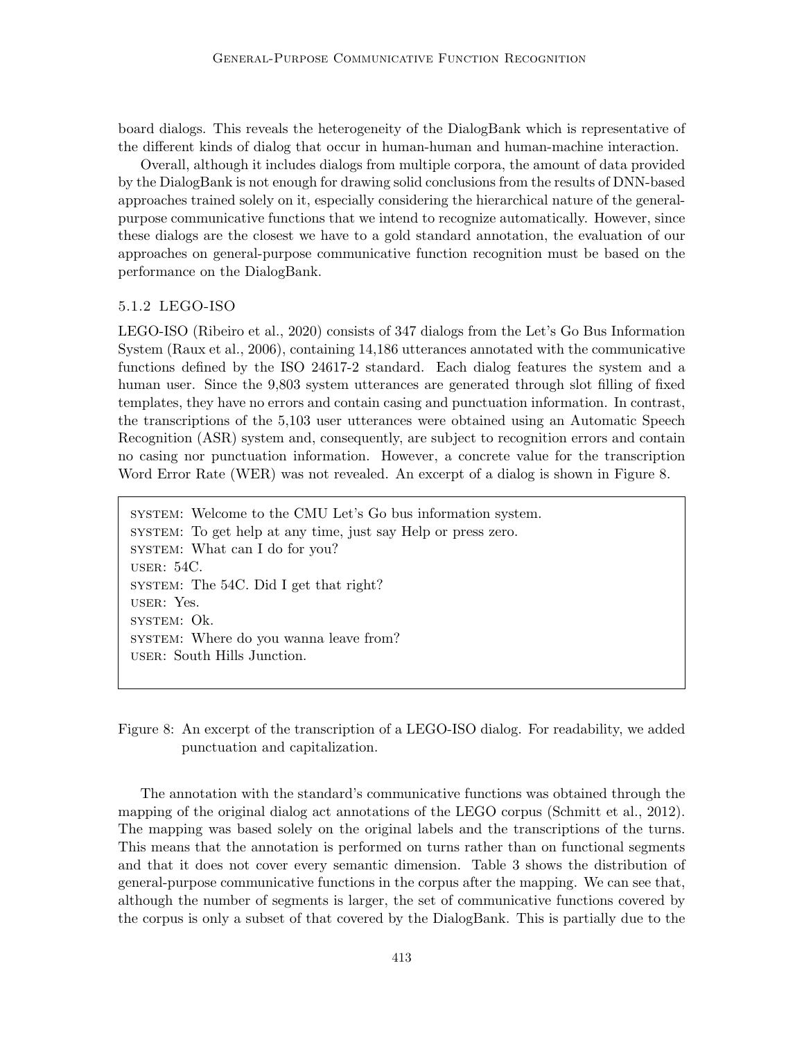board dialogs. This reveals the heterogeneity of the DialogBank which is representative of the different kinds of dialog that occur in human-human and human-machine interaction.

Overall, although it includes dialogs from multiple corpora, the amount of data provided by the DialogBank is not enough for drawing solid conclusions from the results of DNN-based approaches trained solely on it, especially considering the hierarchical nature of the generalpurpose communicative functions that we intend to recognize automatically. However, since these dialogs are the closest we have to a gold standard annotation, the evaluation of our approaches on general-purpose communicative function recognition must be based on the performance on the DialogBank.

# 5.1.2 LEGO-ISO

LEGO-ISO (Ribeiro et al., 2020) consists of 347 dialogs from the Let's Go Bus Information System (Raux et al., 2006), containing 14,186 utterances annotated with the communicative functions defined by the ISO 24617-2 standard. Each dialog features the system and a human user. Since the 9,803 system utterances are generated through slot filling of fixed templates, they have no errors and contain casing and punctuation information. In contrast, the transcriptions of the 5,103 user utterances were obtained using an Automatic Speech Recognition (ASR) system and, consequently, are subject to recognition errors and contain no casing nor punctuation information. However, a concrete value for the transcription Word Error Rate (WER) was not revealed. An excerpt of a dialog is shown in Figure 8.

system: Welcome to the CMU Let's Go bus information system. system: To get help at any time, just say Help or press zero. system: What can I do for you? user: 54C. system: The 54C. Did I get that right? user: Yes. system: Ok. system: Where do you wanna leave from? user: South Hills Junction.

Figure 8: An excerpt of the transcription of a LEGO-ISO dialog. For readability, we added punctuation and capitalization.

The annotation with the standard's communicative functions was obtained through the mapping of the original dialog act annotations of the LEGO corpus (Schmitt et al., 2012). The mapping was based solely on the original labels and the transcriptions of the turns. This means that the annotation is performed on turns rather than on functional segments and that it does not cover every semantic dimension. Table 3 shows the distribution of general-purpose communicative functions in the corpus after the mapping. We can see that, although the number of segments is larger, the set of communicative functions covered by the corpus is only a subset of that covered by the DialogBank. This is partially due to the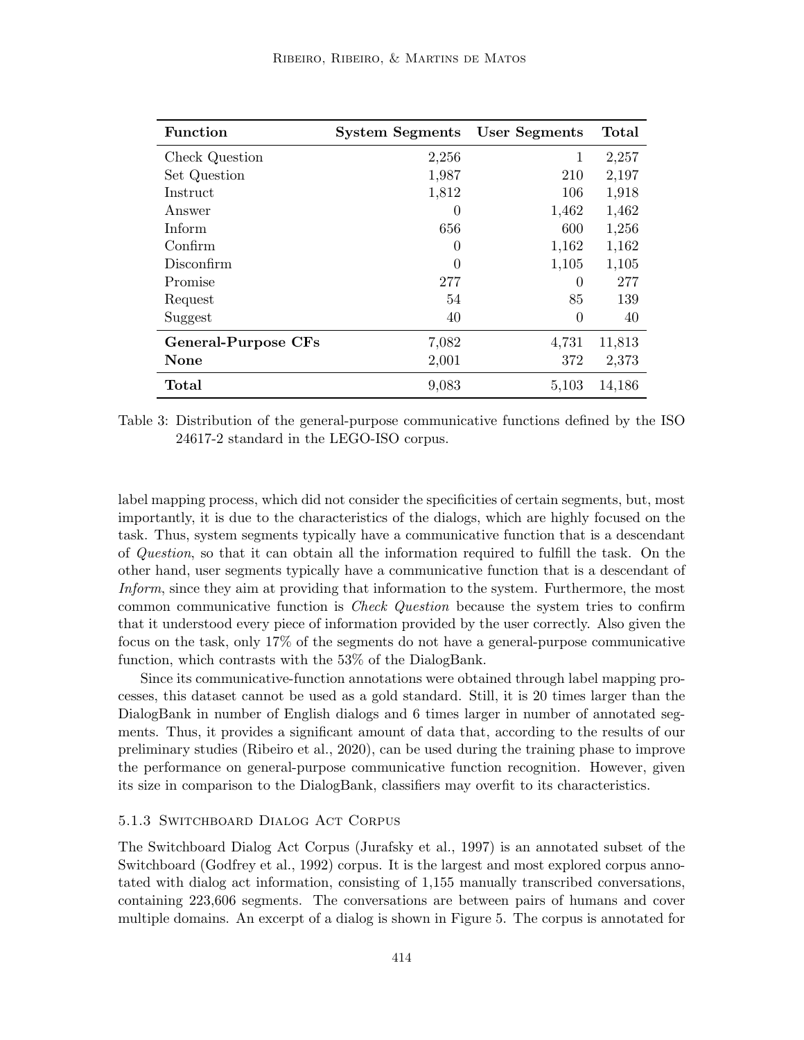| <b>Function</b>            | <b>System Segments</b> | User Segments | Total  |
|----------------------------|------------------------|---------------|--------|
| Check Question             | 2,256                  | 1             | 2,257  |
| Set Question               | 1,987                  | 210           | 2,197  |
| Instruct                   | 1,812                  | 106           | 1,918  |
| Answer                     | $\theta$               | 1,462         | 1,462  |
| Inform                     | 656                    | 600           | 1,256  |
| Confirm                    | 0                      | 1,162         | 1,162  |
| Disconfirm                 |                        | 1,105         | 1,105  |
| Promise                    | 277                    | $\Omega$      | 277    |
| Request                    | 54                     | 85            | 139    |
| Suggest                    | 40                     | $\theta$      | 40     |
| <b>General-Purpose CFs</b> | 7,082                  | 4,731         | 11,813 |
| <b>None</b>                | 2,001                  | 372           | 2,373  |
| Total                      | 9,083                  | 5,103         | 14,186 |

Table 3: Distribution of the general-purpose communicative functions defined by the ISO 24617-2 standard in the LEGO-ISO corpus.

label mapping process, which did not consider the specificities of certain segments, but, most importantly, it is due to the characteristics of the dialogs, which are highly focused on the task. Thus, system segments typically have a communicative function that is a descendant of Question, so that it can obtain all the information required to fulfill the task. On the other hand, user segments typically have a communicative function that is a descendant of Inform, since they aim at providing that information to the system. Furthermore, the most common communicative function is Check Question because the system tries to confirm that it understood every piece of information provided by the user correctly. Also given the focus on the task, only 17% of the segments do not have a general-purpose communicative function, which contrasts with the 53% of the DialogBank.

Since its communicative-function annotations were obtained through label mapping processes, this dataset cannot be used as a gold standard. Still, it is 20 times larger than the DialogBank in number of English dialogs and 6 times larger in number of annotated segments. Thus, it provides a significant amount of data that, according to the results of our preliminary studies (Ribeiro et al., 2020), can be used during the training phase to improve the performance on general-purpose communicative function recognition. However, given its size in comparison to the DialogBank, classifiers may overfit to its characteristics.

### 5.1.3 Switchboard Dialog Act Corpus

The Switchboard Dialog Act Corpus (Jurafsky et al., 1997) is an annotated subset of the Switchboard (Godfrey et al., 1992) corpus. It is the largest and most explored corpus annotated with dialog act information, consisting of 1,155 manually transcribed conversations, containing 223,606 segments. The conversations are between pairs of humans and cover multiple domains. An excerpt of a dialog is shown in Figure 5. The corpus is annotated for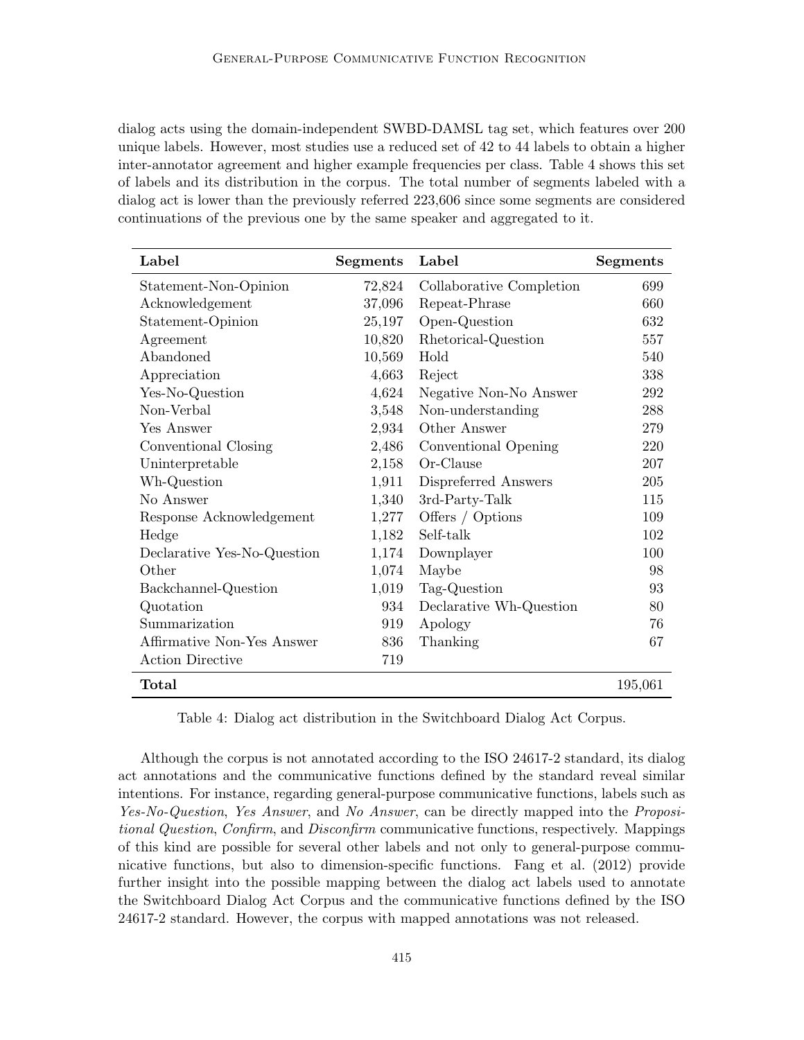dialog acts using the domain-independent SWBD-DAMSL tag set, which features over 200 unique labels. However, most studies use a reduced set of 42 to 44 labels to obtain a higher inter-annotator agreement and higher example frequencies per class. Table 4 shows this set of labels and its distribution in the corpus. The total number of segments labeled with a dialog act is lower than the previously referred 223,606 since some segments are considered continuations of the previous one by the same speaker and aggregated to it.

| Label                       | <b>Segments</b> | Label                    | <b>Segments</b> |
|-----------------------------|-----------------|--------------------------|-----------------|
| Statement-Non-Opinion       | 72,824          | Collaborative Completion | 699             |
| Acknowledgement             | 37,096          | Repeat-Phrase            | 660             |
| Statement-Opinion           | 25,197          | Open-Question            | 632             |
| Agreement                   | 10,820          | Rhetorical-Question      | 557             |
| Abandoned                   | 10,569          | Hold                     | 540             |
| Appreciation                | 4,663           | Reject                   | 338             |
| Yes-No-Question             | 4,624           | Negative Non-No Answer   | 292             |
| Non-Verbal                  | 3,548           | Non-understanding        | 288             |
| Yes Answer                  | 2,934           | Other Answer             | 279             |
| Conventional Closing        | 2,486           | Conventional Opening     | 220             |
| Uninterpretable             | 2,158           | Or-Clause                | 207             |
| Wh-Question                 | 1,911           | Dispreferred Answers     | 205             |
| No Answer                   | 1,340           | 3rd-Party-Talk           | 115             |
| Response Acknowledgement    | 1,277           | Offers / Options         | 109             |
| Hedge                       | 1,182           | Self-talk                | 102             |
| Declarative Yes-No-Question | 1,174           | Downplayer               | 100             |
| Other                       | 1,074           | Maybe                    | 98              |
| Backchannel-Question        | 1,019           | Tag-Question             | 93              |
| Quotation                   | 934             | Declarative Wh-Question  | 80              |
| Summarization               | 919             | Apology                  | 76              |
| Affirmative Non-Yes Answer  | 836             | Thanking                 | 67              |
| <b>Action Directive</b>     | 719             |                          |                 |
| Total                       |                 |                          | 195,061         |

Table 4: Dialog act distribution in the Switchboard Dialog Act Corpus.

Although the corpus is not annotated according to the ISO 24617-2 standard, its dialog act annotations and the communicative functions defined by the standard reveal similar intentions. For instance, regarding general-purpose communicative functions, labels such as Yes-No-Question, Yes Answer, and No Answer, can be directly mapped into the *Proposi*tional Question, Confirm, and Disconfirm communicative functions, respectively. Mappings of this kind are possible for several other labels and not only to general-purpose communicative functions, but also to dimension-specific functions. Fang et al. (2012) provide further insight into the possible mapping between the dialog act labels used to annotate the Switchboard Dialog Act Corpus and the communicative functions defined by the ISO 24617-2 standard. However, the corpus with mapped annotations was not released.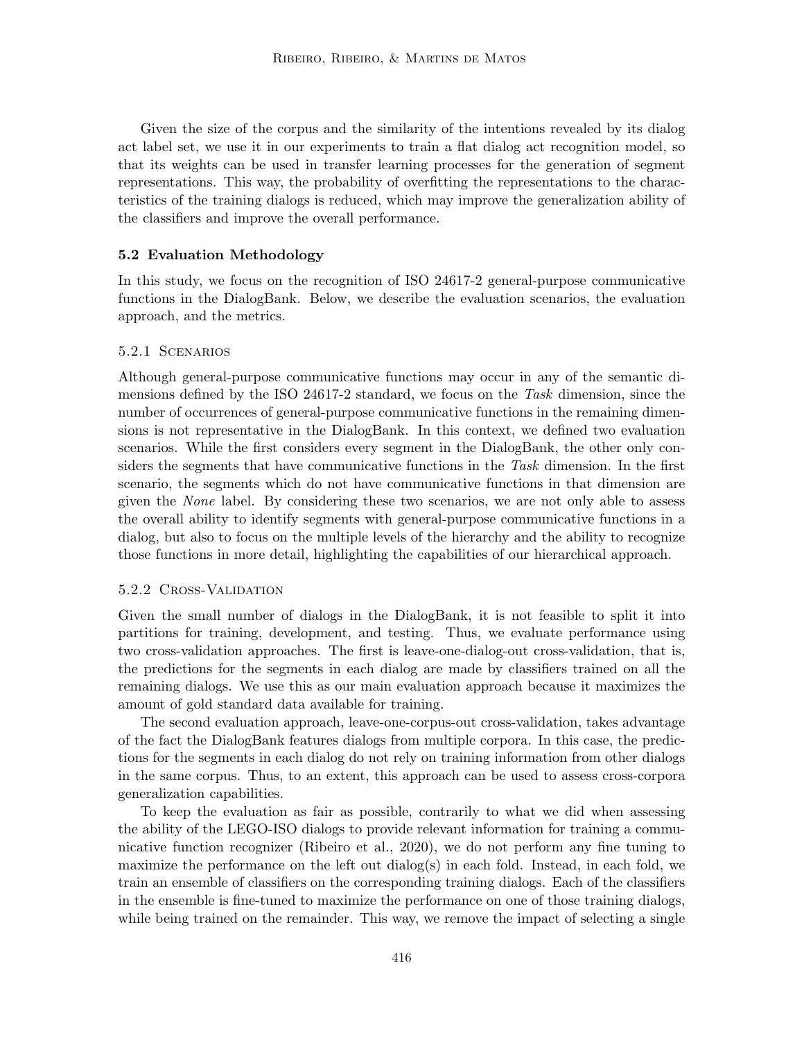Given the size of the corpus and the similarity of the intentions revealed by its dialog act label set, we use it in our experiments to train a flat dialog act recognition model, so that its weights can be used in transfer learning processes for the generation of segment representations. This way, the probability of overfitting the representations to the characteristics of the training dialogs is reduced, which may improve the generalization ability of the classifiers and improve the overall performance.

### 5.2 Evaluation Methodology

In this study, we focus on the recognition of ISO 24617-2 general-purpose communicative functions in the DialogBank. Below, we describe the evaluation scenarios, the evaluation approach, and the metrics.

### 5.2.1 Scenarios

Although general-purpose communicative functions may occur in any of the semantic dimensions defined by the ISO 24617-2 standard, we focus on the Task dimension, since the number of occurrences of general-purpose communicative functions in the remaining dimensions is not representative in the DialogBank. In this context, we defined two evaluation scenarios. While the first considers every segment in the DialogBank, the other only considers the segments that have communicative functions in the Task dimension. In the first scenario, the segments which do not have communicative functions in that dimension are given the None label. By considering these two scenarios, we are not only able to assess the overall ability to identify segments with general-purpose communicative functions in a dialog, but also to focus on the multiple levels of the hierarchy and the ability to recognize those functions in more detail, highlighting the capabilities of our hierarchical approach.

#### 5.2.2 Cross-Validation

Given the small number of dialogs in the DialogBank, it is not feasible to split it into partitions for training, development, and testing. Thus, we evaluate performance using two cross-validation approaches. The first is leave-one-dialog-out cross-validation, that is, the predictions for the segments in each dialog are made by classifiers trained on all the remaining dialogs. We use this as our main evaluation approach because it maximizes the amount of gold standard data available for training.

The second evaluation approach, leave-one-corpus-out cross-validation, takes advantage of the fact the DialogBank features dialogs from multiple corpora. In this case, the predictions for the segments in each dialog do not rely on training information from other dialogs in the same corpus. Thus, to an extent, this approach can be used to assess cross-corpora generalization capabilities.

To keep the evaluation as fair as possible, contrarily to what we did when assessing the ability of the LEGO-ISO dialogs to provide relevant information for training a communicative function recognizer (Ribeiro et al., 2020), we do not perform any fine tuning to maximize the performance on the left out dialog(s) in each fold. Instead, in each fold, we train an ensemble of classifiers on the corresponding training dialogs. Each of the classifiers in the ensemble is fine-tuned to maximize the performance on one of those training dialogs, while being trained on the remainder. This way, we remove the impact of selecting a single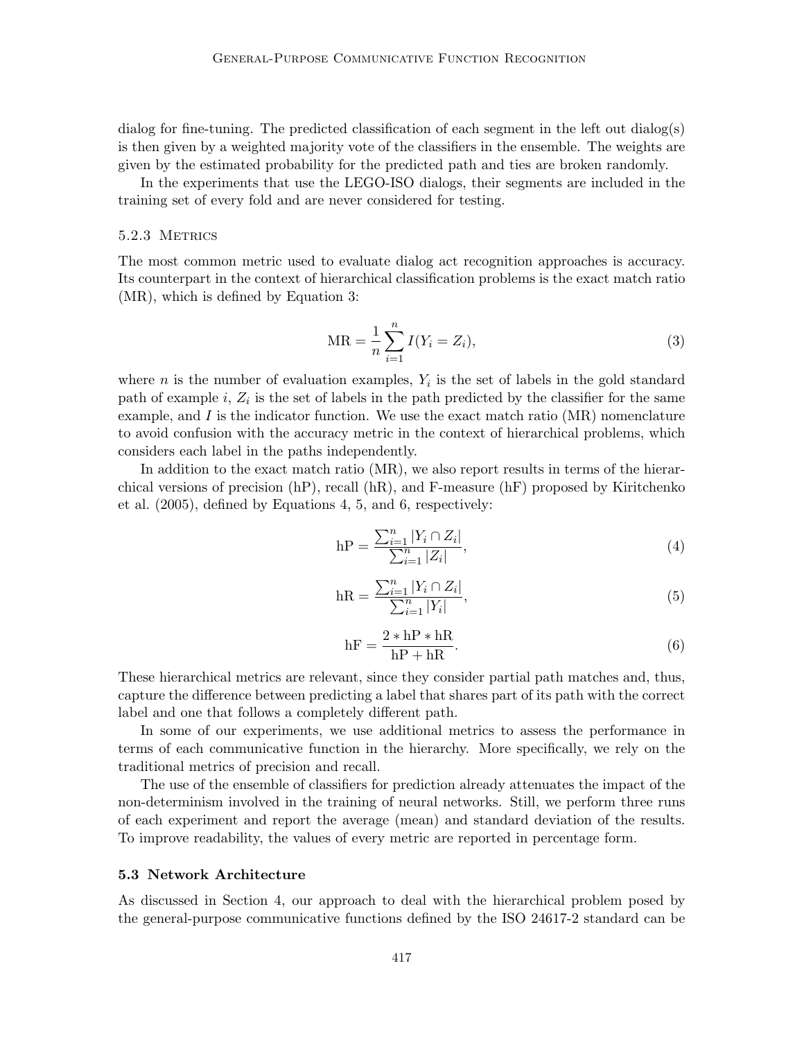dialog for fine-tuning. The predicted classification of each segment in the left out dialog(s) is then given by a weighted majority vote of the classifiers in the ensemble. The weights are given by the estimated probability for the predicted path and ties are broken randomly.

In the experiments that use the LEGO-ISO dialogs, their segments are included in the training set of every fold and are never considered for testing.

### 5.2.3 METRICS

The most common metric used to evaluate dialog act recognition approaches is accuracy. Its counterpart in the context of hierarchical classification problems is the exact match ratio (MR), which is defined by Equation 3:

$$
MR = \frac{1}{n} \sum_{i=1}^{n} I(Y_i = Z_i),
$$
\n(3)

where *n* is the number of evaluation examples,  $Y_i$  is the set of labels in the gold standard path of example  $i, Z_i$  is the set of labels in the path predicted by the classifier for the same example, and  $I$  is the indicator function. We use the exact match ratio (MR) nomenclature to avoid confusion with the accuracy metric in the context of hierarchical problems, which considers each label in the paths independently.

In addition to the exact match ratio (MR), we also report results in terms of the hierarchical versions of precision (hP), recall (hR), and F-measure (hF) proposed by Kiritchenko et al. (2005), defined by Equations 4, 5, and 6, respectively:

$$
hP = \frac{\sum_{i=1}^{n} |Y_i \cap Z_i|}{\sum_{i=1}^{n} |Z_i|},\tag{4}
$$

$$
hR = \frac{\sum_{i=1}^{n} |Y_i \cap Z_i|}{\sum_{i=1}^{n} |Y_i|},
$$
\n(5)

$$
hF = \frac{2 * hP * hR}{hP + hR}.
$$
\n(6)

These hierarchical metrics are relevant, since they consider partial path matches and, thus, capture the difference between predicting a label that shares part of its path with the correct label and one that follows a completely different path.

In some of our experiments, we use additional metrics to assess the performance in terms of each communicative function in the hierarchy. More specifically, we rely on the traditional metrics of precision and recall.

The use of the ensemble of classifiers for prediction already attenuates the impact of the non-determinism involved in the training of neural networks. Still, we perform three runs of each experiment and report the average (mean) and standard deviation of the results. To improve readability, the values of every metric are reported in percentage form.

## 5.3 Network Architecture

As discussed in Section 4, our approach to deal with the hierarchical problem posed by the general-purpose communicative functions defined by the ISO 24617-2 standard can be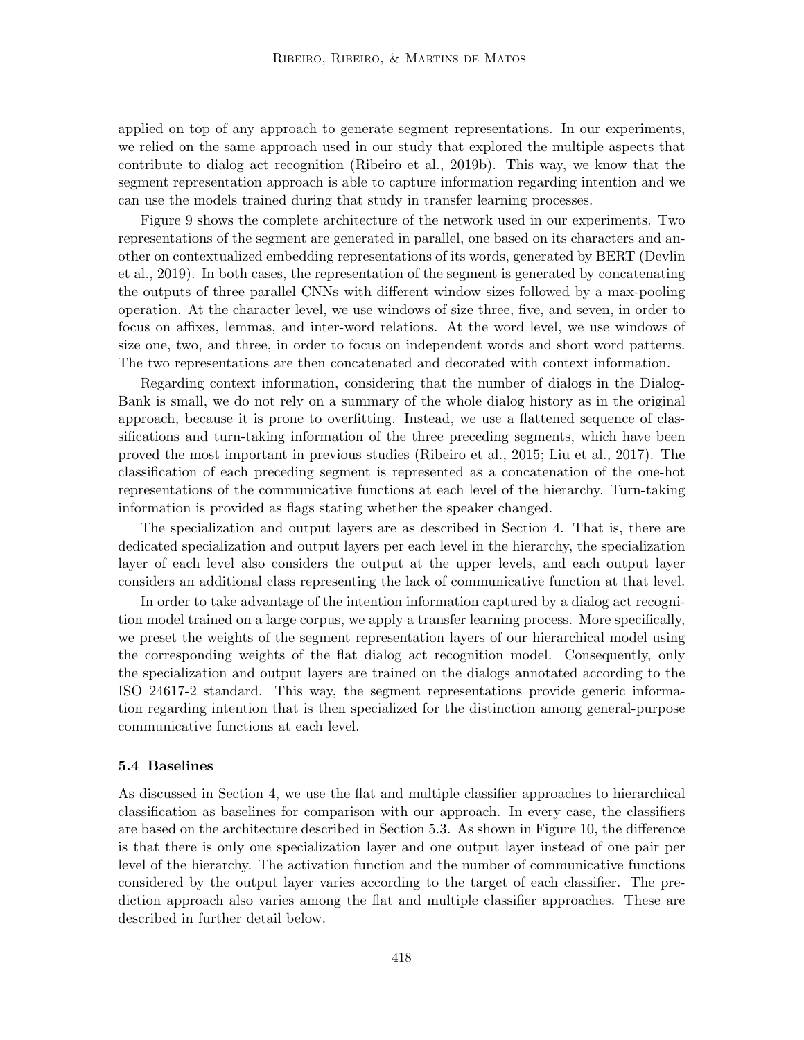applied on top of any approach to generate segment representations. In our experiments, we relied on the same approach used in our study that explored the multiple aspects that contribute to dialog act recognition (Ribeiro et al., 2019b). This way, we know that the segment representation approach is able to capture information regarding intention and we can use the models trained during that study in transfer learning processes.

Figure 9 shows the complete architecture of the network used in our experiments. Two representations of the segment are generated in parallel, one based on its characters and another on contextualized embedding representations of its words, generated by BERT (Devlin et al., 2019). In both cases, the representation of the segment is generated by concatenating the outputs of three parallel CNNs with different window sizes followed by a max-pooling operation. At the character level, we use windows of size three, five, and seven, in order to focus on affixes, lemmas, and inter-word relations. At the word level, we use windows of size one, two, and three, in order to focus on independent words and short word patterns. The two representations are then concatenated and decorated with context information.

Regarding context information, considering that the number of dialogs in the Dialog-Bank is small, we do not rely on a summary of the whole dialog history as in the original approach, because it is prone to overfitting. Instead, we use a flattened sequence of classifications and turn-taking information of the three preceding segments, which have been proved the most important in previous studies (Ribeiro et al., 2015; Liu et al., 2017). The classification of each preceding segment is represented as a concatenation of the one-hot representations of the communicative functions at each level of the hierarchy. Turn-taking information is provided as flags stating whether the speaker changed.

The specialization and output layers are as described in Section 4. That is, there are dedicated specialization and output layers per each level in the hierarchy, the specialization layer of each level also considers the output at the upper levels, and each output layer considers an additional class representing the lack of communicative function at that level.

In order to take advantage of the intention information captured by a dialog act recognition model trained on a large corpus, we apply a transfer learning process. More specifically, we preset the weights of the segment representation layers of our hierarchical model using the corresponding weights of the flat dialog act recognition model. Consequently, only the specialization and output layers are trained on the dialogs annotated according to the ISO 24617-2 standard. This way, the segment representations provide generic information regarding intention that is then specialized for the distinction among general-purpose communicative functions at each level.

#### 5.4 Baselines

As discussed in Section 4, we use the flat and multiple classifier approaches to hierarchical classification as baselines for comparison with our approach. In every case, the classifiers are based on the architecture described in Section 5.3. As shown in Figure 10, the difference is that there is only one specialization layer and one output layer instead of one pair per level of the hierarchy. The activation function and the number of communicative functions considered by the output layer varies according to the target of each classifier. The prediction approach also varies among the flat and multiple classifier approaches. These are described in further detail below.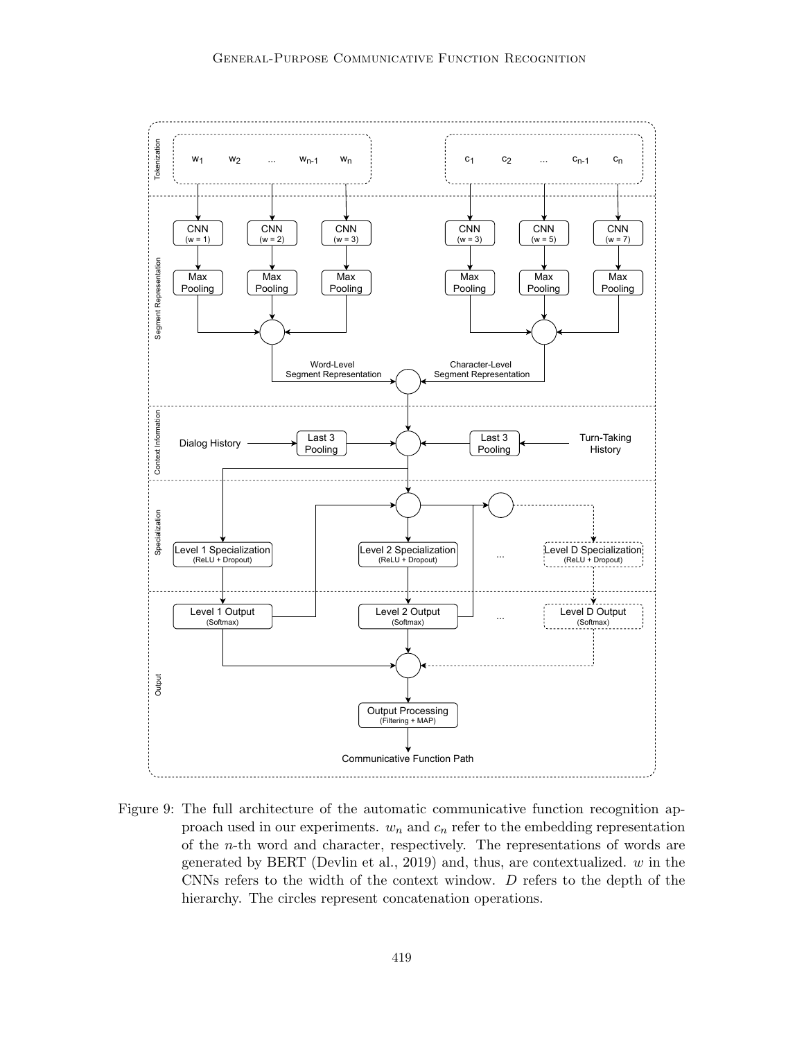

Figure 9: The full architecture of the automatic communicative function recognition approach used in our experiments.  $w_n$  and  $c_n$  refer to the embedding representation of the n-th word and character, respectively. The representations of words are generated by BERT (Devlin et al., 2019) and, thus, are contextualized.  $w$  in the CNNs refers to the width of the context window. D refers to the depth of the hierarchy. The circles represent concatenation operations.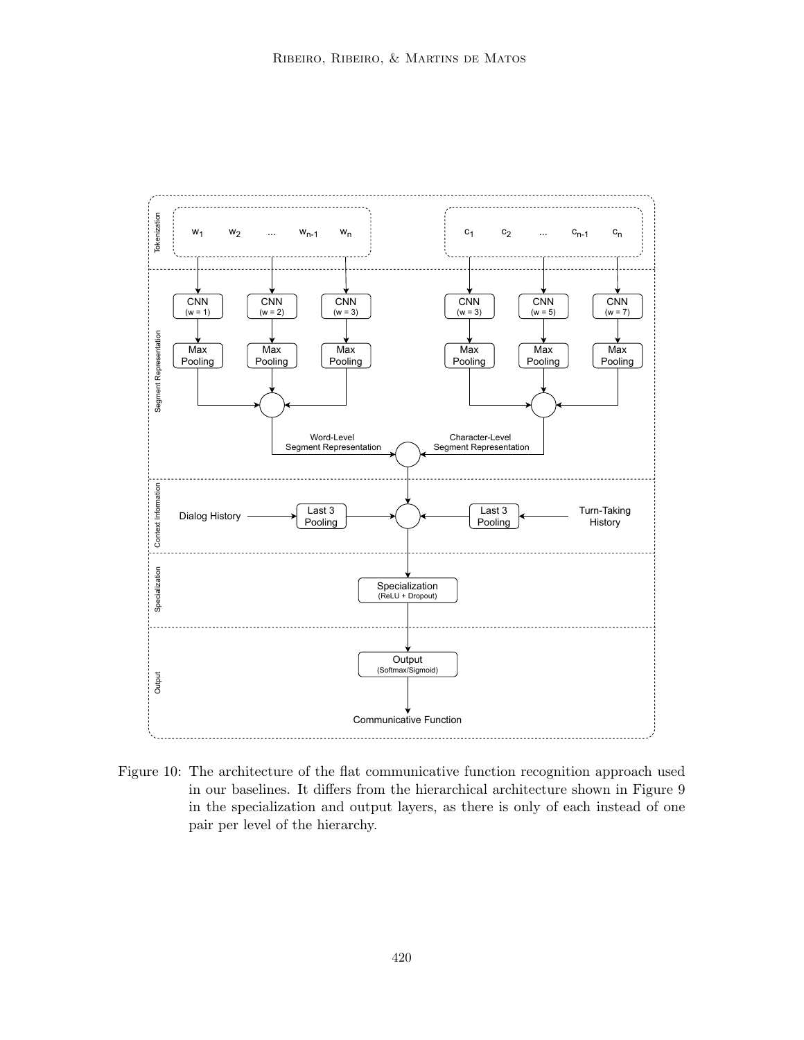

Figure 10: The architecture of the flat communicative function recognition approach used in our baselines. It differs from the hierarchical architecture shown in Figure 9 in the specialization and output layers, as there is only of each instead of one pair per level of the hierarchy.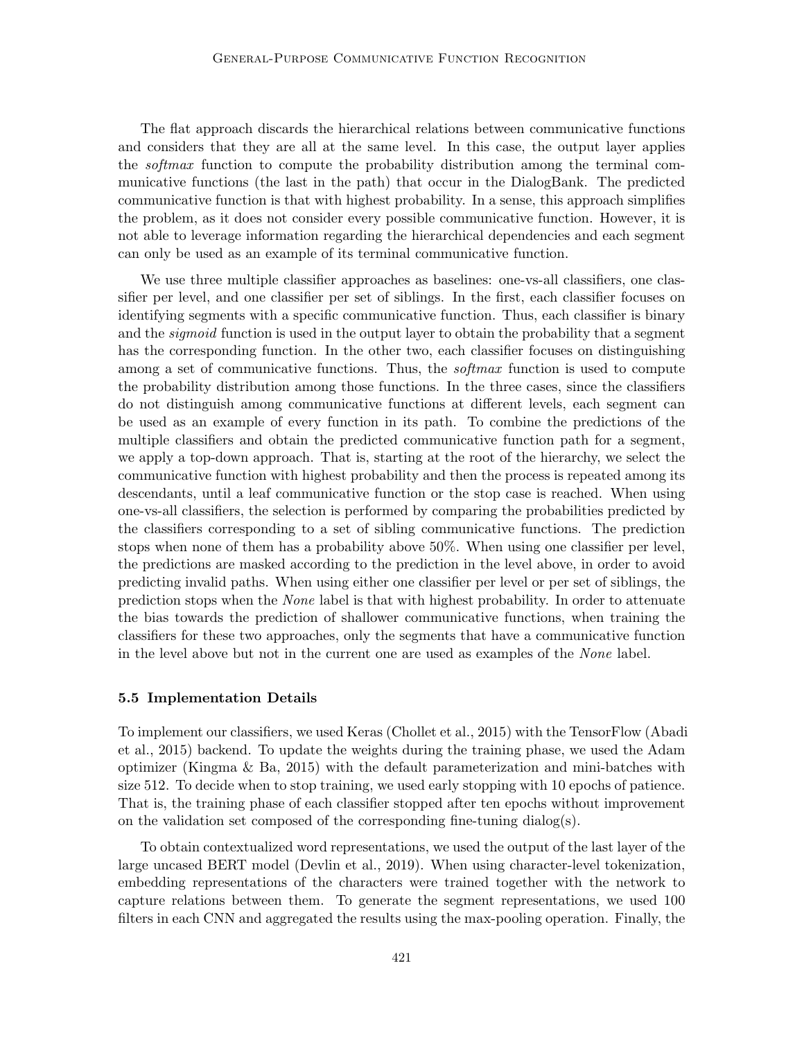The flat approach discards the hierarchical relations between communicative functions and considers that they are all at the same level. In this case, the output layer applies the *softmax* function to compute the probability distribution among the terminal communicative functions (the last in the path) that occur in the DialogBank. The predicted communicative function is that with highest probability. In a sense, this approach simplifies the problem, as it does not consider every possible communicative function. However, it is not able to leverage information regarding the hierarchical dependencies and each segment can only be used as an example of its terminal communicative function.

We use three multiple classifier approaches as baselines: one-vs-all classifiers, one classifier per level, and one classifier per set of siblings. In the first, each classifier focuses on identifying segments with a specific communicative function. Thus, each classifier is binary and the *sigmoid* function is used in the output layer to obtain the probability that a segment has the corresponding function. In the other two, each classifier focuses on distinguishing among a set of communicative functions. Thus, the *softmax* function is used to compute the probability distribution among those functions. In the three cases, since the classifiers do not distinguish among communicative functions at different levels, each segment can be used as an example of every function in its path. To combine the predictions of the multiple classifiers and obtain the predicted communicative function path for a segment, we apply a top-down approach. That is, starting at the root of the hierarchy, we select the communicative function with highest probability and then the process is repeated among its descendants, until a leaf communicative function or the stop case is reached. When using one-vs-all classifiers, the selection is performed by comparing the probabilities predicted by the classifiers corresponding to a set of sibling communicative functions. The prediction stops when none of them has a probability above 50%. When using one classifier per level, the predictions are masked according to the prediction in the level above, in order to avoid predicting invalid paths. When using either one classifier per level or per set of siblings, the prediction stops when the None label is that with highest probability. In order to attenuate the bias towards the prediction of shallower communicative functions, when training the classifiers for these two approaches, only the segments that have a communicative function in the level above but not in the current one are used as examples of the None label.

#### 5.5 Implementation Details

To implement our classifiers, we used Keras (Chollet et al., 2015) with the TensorFlow (Abadi et al., 2015) backend. To update the weights during the training phase, we used the Adam optimizer (Kingma & Ba, 2015) with the default parameterization and mini-batches with size 512. To decide when to stop training, we used early stopping with 10 epochs of patience. That is, the training phase of each classifier stopped after ten epochs without improvement on the validation set composed of the corresponding fine-tuning dialog(s).

To obtain contextualized word representations, we used the output of the last layer of the large uncased BERT model (Devlin et al., 2019). When using character-level tokenization, embedding representations of the characters were trained together with the network to capture relations between them. To generate the segment representations, we used 100 filters in each CNN and aggregated the results using the max-pooling operation. Finally, the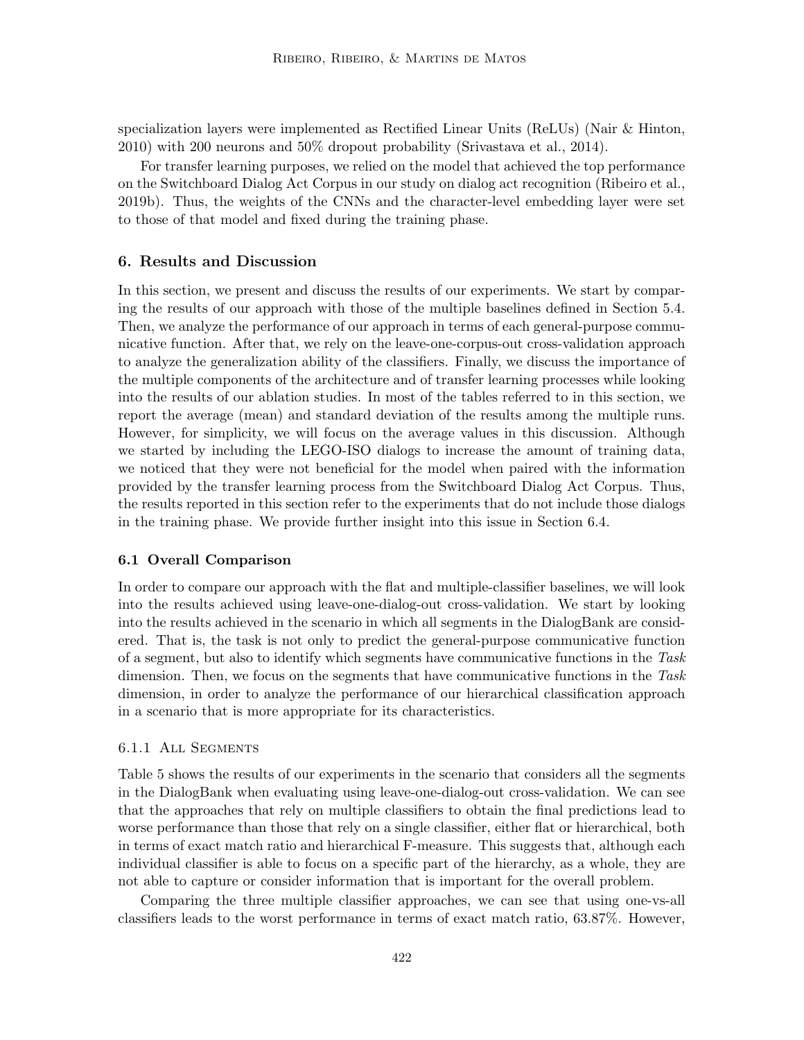specialization layers were implemented as Rectified Linear Units (ReLUs) (Nair & Hinton, 2010) with 200 neurons and 50% dropout probability (Srivastava et al., 2014).

For transfer learning purposes, we relied on the model that achieved the top performance on the Switchboard Dialog Act Corpus in our study on dialog act recognition (Ribeiro et al., 2019b). Thus, the weights of the CNNs and the character-level embedding layer were set to those of that model and fixed during the training phase.

## 6. Results and Discussion

In this section, we present and discuss the results of our experiments. We start by comparing the results of our approach with those of the multiple baselines defined in Section 5.4. Then, we analyze the performance of our approach in terms of each general-purpose communicative function. After that, we rely on the leave-one-corpus-out cross-validation approach to analyze the generalization ability of the classifiers. Finally, we discuss the importance of the multiple components of the architecture and of transfer learning processes while looking into the results of our ablation studies. In most of the tables referred to in this section, we report the average (mean) and standard deviation of the results among the multiple runs. However, for simplicity, we will focus on the average values in this discussion. Although we started by including the LEGO-ISO dialogs to increase the amount of training data, we noticed that they were not beneficial for the model when paired with the information provided by the transfer learning process from the Switchboard Dialog Act Corpus. Thus, the results reported in this section refer to the experiments that do not include those dialogs in the training phase. We provide further insight into this issue in Section 6.4.

## 6.1 Overall Comparison

In order to compare our approach with the flat and multiple-classifier baselines, we will look into the results achieved using leave-one-dialog-out cross-validation. We start by looking into the results achieved in the scenario in which all segments in the DialogBank are considered. That is, the task is not only to predict the general-purpose communicative function of a segment, but also to identify which segments have communicative functions in the Task dimension. Then, we focus on the segments that have communicative functions in the Task dimension, in order to analyze the performance of our hierarchical classification approach in a scenario that is more appropriate for its characteristics.

## 6.1.1 All Segments

Table 5 shows the results of our experiments in the scenario that considers all the segments in the DialogBank when evaluating using leave-one-dialog-out cross-validation. We can see that the approaches that rely on multiple classifiers to obtain the final predictions lead to worse performance than those that rely on a single classifier, either flat or hierarchical, both in terms of exact match ratio and hierarchical F-measure. This suggests that, although each individual classifier is able to focus on a specific part of the hierarchy, as a whole, they are not able to capture or consider information that is important for the overall problem.

Comparing the three multiple classifier approaches, we can see that using one-vs-all classifiers leads to the worst performance in terms of exact match ratio, 63.87%. However,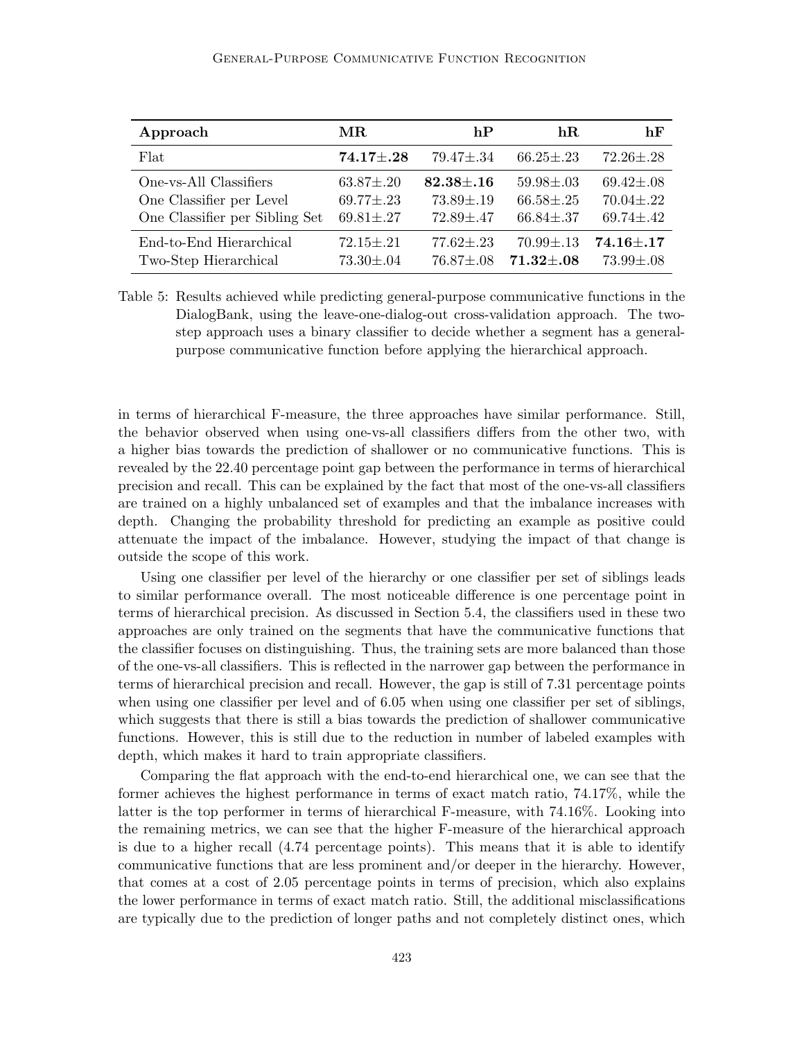### General-Purpose Communicative Function Recognition

| Approach                       | MR.               | hP              | hR.               | hF                |
|--------------------------------|-------------------|-----------------|-------------------|-------------------|
| Flat                           | $74.17 \pm .28$   | $79.47 \pm .34$ | $66.25 \pm .23$   | $72.26 \pm .28$   |
| One-vs-All Classifiers         | $63.87 \pm .20$   | $82.38{\pm}.16$ | $59.98 \pm .03$   | $69.42 \pm .08$   |
| One Classifier per Level       | $69.77 \pm .23$   | $73.89 \pm .19$ | $66.58 {\pm} .25$ | $70.04 \pm .22$   |
| One Classifier per Sibling Set | $69.81 {\pm} .27$ | $72.89{\pm}.47$ | $66.84{\pm}.37$   | $69.74 \pm .42$   |
| End-to-End Hierarchical        | $72.15 \pm .21$   | $77.62 \pm .23$ | $70.99 \pm .13$   | $74.16 {\pm} .17$ |
| Two-Step Hierarchical          | $73.30 \pm .04$   | $76.87 + .08$   | $71.32 {\pm} .08$ | $73.99 \pm .08$   |

Table 5: Results achieved while predicting general-purpose communicative functions in the DialogBank, using the leave-one-dialog-out cross-validation approach. The twostep approach uses a binary classifier to decide whether a segment has a generalpurpose communicative function before applying the hierarchical approach.

in terms of hierarchical F-measure, the three approaches have similar performance. Still, the behavior observed when using one-vs-all classifiers differs from the other two, with a higher bias towards the prediction of shallower or no communicative functions. This is revealed by the 22.40 percentage point gap between the performance in terms of hierarchical precision and recall. This can be explained by the fact that most of the one-vs-all classifiers are trained on a highly unbalanced set of examples and that the imbalance increases with depth. Changing the probability threshold for predicting an example as positive could attenuate the impact of the imbalance. However, studying the impact of that change is outside the scope of this work.

Using one classifier per level of the hierarchy or one classifier per set of siblings leads to similar performance overall. The most noticeable difference is one percentage point in terms of hierarchical precision. As discussed in Section 5.4, the classifiers used in these two approaches are only trained on the segments that have the communicative functions that the classifier focuses on distinguishing. Thus, the training sets are more balanced than those of the one-vs-all classifiers. This is reflected in the narrower gap between the performance in terms of hierarchical precision and recall. However, the gap is still of 7.31 percentage points when using one classifier per level and of 6.05 when using one classifier per set of siblings, which suggests that there is still a bias towards the prediction of shallower communicative functions. However, this is still due to the reduction in number of labeled examples with depth, which makes it hard to train appropriate classifiers.

Comparing the flat approach with the end-to-end hierarchical one, we can see that the former achieves the highest performance in terms of exact match ratio, 74.17%, while the latter is the top performer in terms of hierarchical F-measure, with 74.16%. Looking into the remaining metrics, we can see that the higher F-measure of the hierarchical approach is due to a higher recall (4.74 percentage points). This means that it is able to identify communicative functions that are less prominent and/or deeper in the hierarchy. However, that comes at a cost of 2.05 percentage points in terms of precision, which also explains the lower performance in terms of exact match ratio. Still, the additional misclassifications are typically due to the prediction of longer paths and not completely distinct ones, which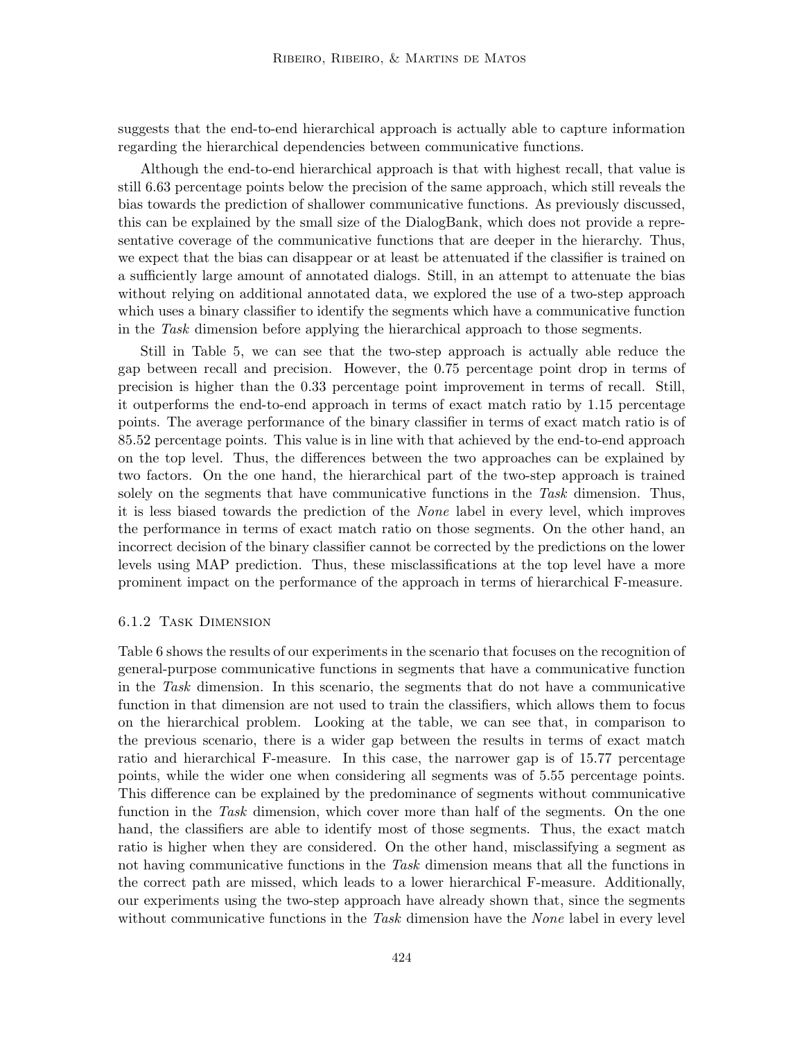suggests that the end-to-end hierarchical approach is actually able to capture information regarding the hierarchical dependencies between communicative functions.

Although the end-to-end hierarchical approach is that with highest recall, that value is still 6.63 percentage points below the precision of the same approach, which still reveals the bias towards the prediction of shallower communicative functions. As previously discussed, this can be explained by the small size of the DialogBank, which does not provide a representative coverage of the communicative functions that are deeper in the hierarchy. Thus, we expect that the bias can disappear or at least be attenuated if the classifier is trained on a sufficiently large amount of annotated dialogs. Still, in an attempt to attenuate the bias without relying on additional annotated data, we explored the use of a two-step approach which uses a binary classifier to identify the segments which have a communicative function in the Task dimension before applying the hierarchical approach to those segments.

Still in Table 5, we can see that the two-step approach is actually able reduce the gap between recall and precision. However, the 0.75 percentage point drop in terms of precision is higher than the 0.33 percentage point improvement in terms of recall. Still, it outperforms the end-to-end approach in terms of exact match ratio by 1.15 percentage points. The average performance of the binary classifier in terms of exact match ratio is of 85.52 percentage points. This value is in line with that achieved by the end-to-end approach on the top level. Thus, the differences between the two approaches can be explained by two factors. On the one hand, the hierarchical part of the two-step approach is trained solely on the segments that have communicative functions in the Task dimension. Thus, it is less biased towards the prediction of the None label in every level, which improves the performance in terms of exact match ratio on those segments. On the other hand, an incorrect decision of the binary classifier cannot be corrected by the predictions on the lower levels using MAP prediction. Thus, these misclassifications at the top level have a more prominent impact on the performance of the approach in terms of hierarchical F-measure.

## 6.1.2 Task Dimension

Table 6 shows the results of our experiments in the scenario that focuses on the recognition of general-purpose communicative functions in segments that have a communicative function in the Task dimension. In this scenario, the segments that do not have a communicative function in that dimension are not used to train the classifiers, which allows them to focus on the hierarchical problem. Looking at the table, we can see that, in comparison to the previous scenario, there is a wider gap between the results in terms of exact match ratio and hierarchical F-measure. In this case, the narrower gap is of 15.77 percentage points, while the wider one when considering all segments was of 5.55 percentage points. This difference can be explained by the predominance of segments without communicative function in the Task dimension, which cover more than half of the segments. On the one hand, the classifiers are able to identify most of those segments. Thus, the exact match ratio is higher when they are considered. On the other hand, misclassifying a segment as not having communicative functions in the Task dimension means that all the functions in the correct path are missed, which leads to a lower hierarchical F-measure. Additionally, our experiments using the two-step approach have already shown that, since the segments without communicative functions in the Task dimension have the None label in every level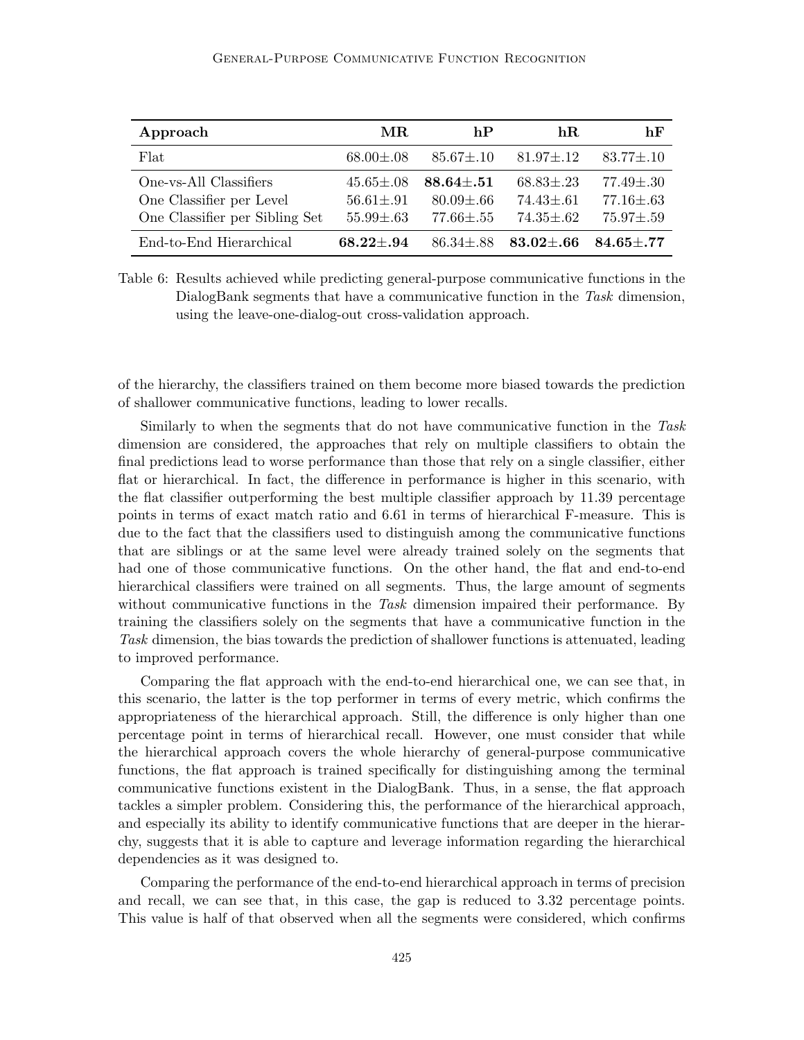| Approach                                                                             | MR.                                                   | hP                                                    | hR.                                                   | hF                                                    |
|--------------------------------------------------------------------------------------|-------------------------------------------------------|-------------------------------------------------------|-------------------------------------------------------|-------------------------------------------------------|
| Flat                                                                                 | $68.00 \pm .08$                                       | $85.67 \pm .10$                                       | $81.97 \pm .12$                                       | $83.77 \pm .10$                                       |
| One-vs-All Classifiers<br>One Classifier per Level<br>One Classifier per Sibling Set | $45.65 \pm .08$<br>$56.61 \pm .91$<br>$55.99 \pm .63$ | $88.64{\pm}.51$<br>$80.09 \pm .66$<br>$77.66 \pm .55$ | $68.83 \pm .23$<br>$74.43 \pm .61$<br>$74.35 \pm .62$ | $77.49 \pm .30$<br>$77.16 \pm .63$<br>$75.97 \pm .59$ |
| End-to-End Hierarchical                                                              | $68.22 + .94$                                         | $86.34 + .88$                                         | $83.02 \pm .66$                                       | $84.65 + .77$                                         |

Table 6: Results achieved while predicting general-purpose communicative functions in the DialogBank segments that have a communicative function in the Task dimension, using the leave-one-dialog-out cross-validation approach.

of the hierarchy, the classifiers trained on them become more biased towards the prediction of shallower communicative functions, leading to lower recalls.

Similarly to when the segments that do not have communicative function in the Task dimension are considered, the approaches that rely on multiple classifiers to obtain the final predictions lead to worse performance than those that rely on a single classifier, either flat or hierarchical. In fact, the difference in performance is higher in this scenario, with the flat classifier outperforming the best multiple classifier approach by 11.39 percentage points in terms of exact match ratio and 6.61 in terms of hierarchical F-measure. This is due to the fact that the classifiers used to distinguish among the communicative functions that are siblings or at the same level were already trained solely on the segments that had one of those communicative functions. On the other hand, the flat and end-to-end hierarchical classifiers were trained on all segments. Thus, the large amount of segments without communicative functions in the Task dimension impaired their performance. By training the classifiers solely on the segments that have a communicative function in the Task dimension, the bias towards the prediction of shallower functions is attenuated, leading to improved performance.

Comparing the flat approach with the end-to-end hierarchical one, we can see that, in this scenario, the latter is the top performer in terms of every metric, which confirms the appropriateness of the hierarchical approach. Still, the difference is only higher than one percentage point in terms of hierarchical recall. However, one must consider that while the hierarchical approach covers the whole hierarchy of general-purpose communicative functions, the flat approach is trained specifically for distinguishing among the terminal communicative functions existent in the DialogBank. Thus, in a sense, the flat approach tackles a simpler problem. Considering this, the performance of the hierarchical approach, and especially its ability to identify communicative functions that are deeper in the hierarchy, suggests that it is able to capture and leverage information regarding the hierarchical dependencies as it was designed to.

Comparing the performance of the end-to-end hierarchical approach in terms of precision and recall, we can see that, in this case, the gap is reduced to 3.32 percentage points. This value is half of that observed when all the segments were considered, which confirms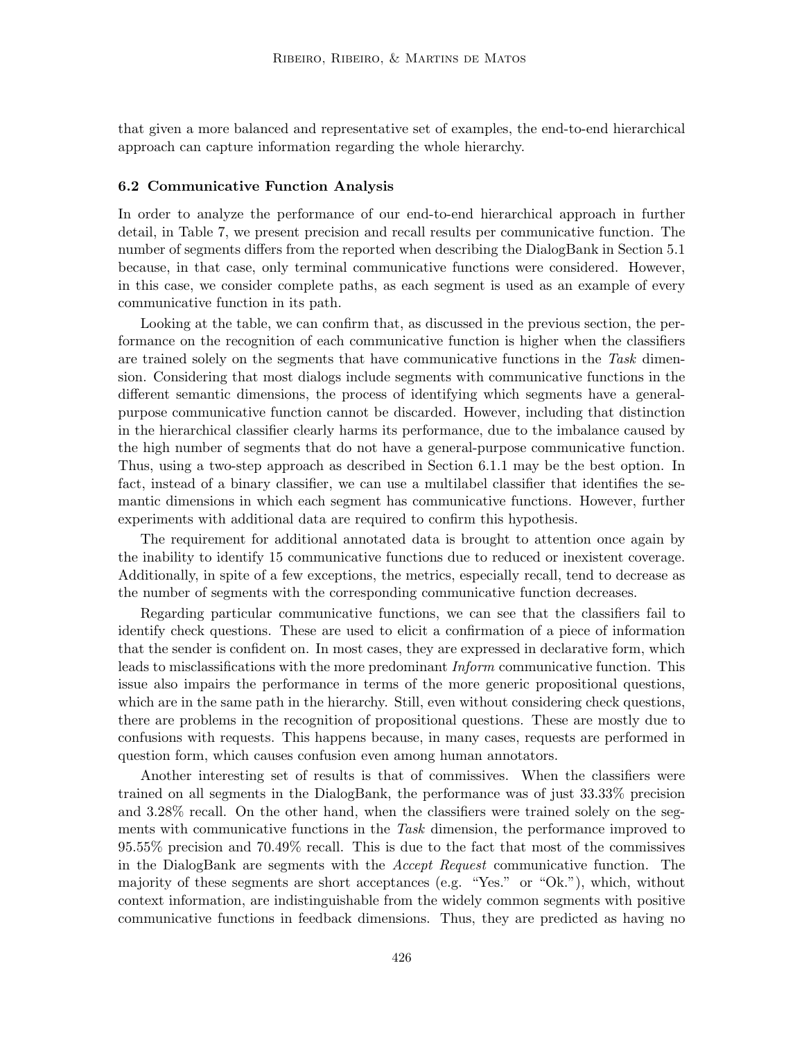that given a more balanced and representative set of examples, the end-to-end hierarchical approach can capture information regarding the whole hierarchy.

#### 6.2 Communicative Function Analysis

In order to analyze the performance of our end-to-end hierarchical approach in further detail, in Table 7, we present precision and recall results per communicative function. The number of segments differs from the reported when describing the DialogBank in Section 5.1 because, in that case, only terminal communicative functions were considered. However, in this case, we consider complete paths, as each segment is used as an example of every communicative function in its path.

Looking at the table, we can confirm that, as discussed in the previous section, the performance on the recognition of each communicative function is higher when the classifiers are trained solely on the segments that have communicative functions in the Task dimension. Considering that most dialogs include segments with communicative functions in the different semantic dimensions, the process of identifying which segments have a generalpurpose communicative function cannot be discarded. However, including that distinction in the hierarchical classifier clearly harms its performance, due to the imbalance caused by the high number of segments that do not have a general-purpose communicative function. Thus, using a two-step approach as described in Section 6.1.1 may be the best option. In fact, instead of a binary classifier, we can use a multilabel classifier that identifies the semantic dimensions in which each segment has communicative functions. However, further experiments with additional data are required to confirm this hypothesis.

The requirement for additional annotated data is brought to attention once again by the inability to identify 15 communicative functions due to reduced or inexistent coverage. Additionally, in spite of a few exceptions, the metrics, especially recall, tend to decrease as the number of segments with the corresponding communicative function decreases.

Regarding particular communicative functions, we can see that the classifiers fail to identify check questions. These are used to elicit a confirmation of a piece of information that the sender is confident on. In most cases, they are expressed in declarative form, which leads to misclassifications with the more predominant Inform communicative function. This issue also impairs the performance in terms of the more generic propositional questions, which are in the same path in the hierarchy. Still, even without considering check questions, there are problems in the recognition of propositional questions. These are mostly due to confusions with requests. This happens because, in many cases, requests are performed in question form, which causes confusion even among human annotators.

Another interesting set of results is that of commissives. When the classifiers were trained on all segments in the DialogBank, the performance was of just 33.33% precision and 3.28% recall. On the other hand, when the classifiers were trained solely on the segments with communicative functions in the Task dimension, the performance improved to 95.55% precision and 70.49% recall. This is due to the fact that most of the commissives in the DialogBank are segments with the Accept Request communicative function. The majority of these segments are short acceptances (e.g. "Yes." or "Ok."), which, without context information, are indistinguishable from the widely common segments with positive communicative functions in feedback dimensions. Thus, they are predicted as having no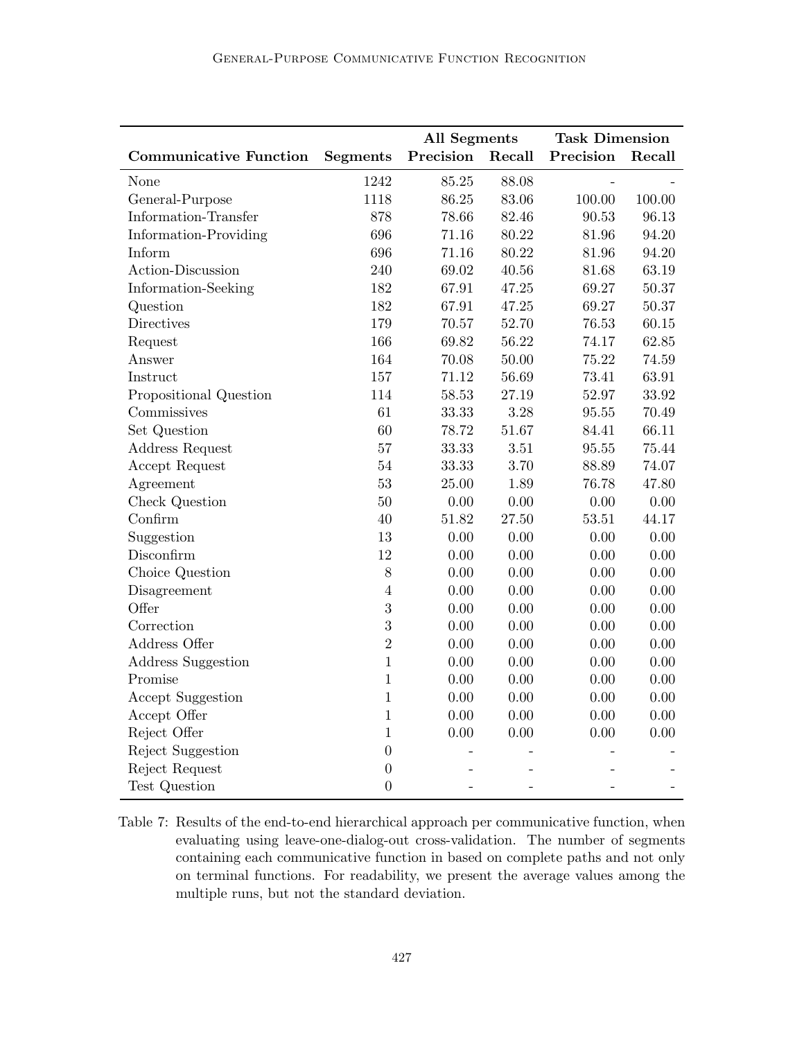|                               |                 | <b>All Segments</b> |           | <b>Task Dimension</b> |          |
|-------------------------------|-----------------|---------------------|-----------|-----------------------|----------|
| <b>Communicative Function</b> | <b>Segments</b> | Precision<br>Recall |           | Precision             | Recall   |
| None                          | 1242            | 85.25               | 88.08     |                       |          |
| General-Purpose               | 1118            | 86.25               | 83.06     | 100.00                | 100.00   |
| Information-Transfer          | 878             | 78.66               | 82.46     | 90.53                 | 96.13    |
| Information-Providing         | 696             | 71.16               | 80.22     | 81.96                 | 94.20    |
| Inform                        | 696             | 71.16               | 80.22     | 81.96                 | 94.20    |
| Action-Discussion             | 240             | 69.02               | 40.56     | 81.68                 | 63.19    |
| Information-Seeking           | 182             | 67.91               | 47.25     | 69.27                 | 50.37    |
| Question                      | 182             | 67.91               | 47.25     | 69.27                 | 50.37    |
| Directives                    | 179             | 70.57               | 52.70     | 76.53                 | 60.15    |
| Request                       | 166             | 69.82               | 56.22     | 74.17                 | 62.85    |
| Answer                        | 164             | 70.08               | $50.00\,$ | 75.22                 | 74.59    |
| Instruct                      | 157             | 71.12               | 56.69     | 73.41                 | 63.91    |
| Propositional Question        | 114             | 58.53               | 27.19     | 52.97                 | 33.92    |
| Commissives                   | 61              | 33.33               | 3.28      | 95.55                 | 70.49    |
| Set Question                  | 60              | 78.72               | 51.67     | 84.41                 | 66.11    |
| Address Request               | 57              | 33.33               | 3.51      | 95.55                 | 75.44    |
| Accept Request                | 54              | 33.33               | 3.70      | 88.89                 | 74.07    |
| Agreement                     | 53              | 25.00               | 1.89      | 76.78                 | 47.80    |
| Check Question                | 50              | 0.00                | $0.00\,$  | 0.00                  | 0.00     |
| Confirm                       | 40              | 51.82               | 27.50     | 53.51                 | 44.17    |
| Suggestion                    | 13              | 0.00                | $0.00\,$  | 0.00                  | 0.00     |
| Disconfirm                    | 12              | 0.00                | 0.00      | $0.00\,$              | $0.00\,$ |
| Choice Question               | 8               | $0.00\,$            | $0.00\,$  | 0.00                  | 0.00     |
| Disagreement                  | $\overline{4}$  | 0.00                | 0.00      | 0.00                  | 0.00     |
| Offer                         | 3               | 0.00                | $0.00\,$  | 0.00                  | 0.00     |
| Correction                    | 3               | 0.00                | 0.00      | 0.00                  | 0.00     |
| Address Offer                 | $\overline{2}$  | 0.00                | 0.00      | 0.00                  | 0.00     |
| <b>Address Suggestion</b>     | $\mathbf{1}$    | 0.00                | $0.00\,$  | 0.00                  | 0.00     |
| Promise                       | $\mathbf{1}$    | 0.00                | 0.00      | 0.00                  | 0.00     |
| Accept Suggestion             | $\mathbf{1}$    | 0.00                | $0.00\,$  | 0.00                  | $0.00\,$ |
| Accept Offer                  | $\mathbf{1}$    | 0.00                | 0.00      | 0.00                  | 0.00     |
| Reject Offer                  | $\mathbf{1}$    | 0.00                | $0.00\,$  | $0.00\,$              | 0.00     |
| Reject Suggestion             | $\overline{0}$  |                     |           |                       |          |
| Reject Request                | $\overline{0}$  |                     |           |                       |          |
| Test Question                 | $\overline{0}$  |                     |           |                       |          |

Table 7: Results of the end-to-end hierarchical approach per communicative function, when evaluating using leave-one-dialog-out cross-validation. The number of segments containing each communicative function in based on complete paths and not only on terminal functions. For readability, we present the average values among the multiple runs, but not the standard deviation.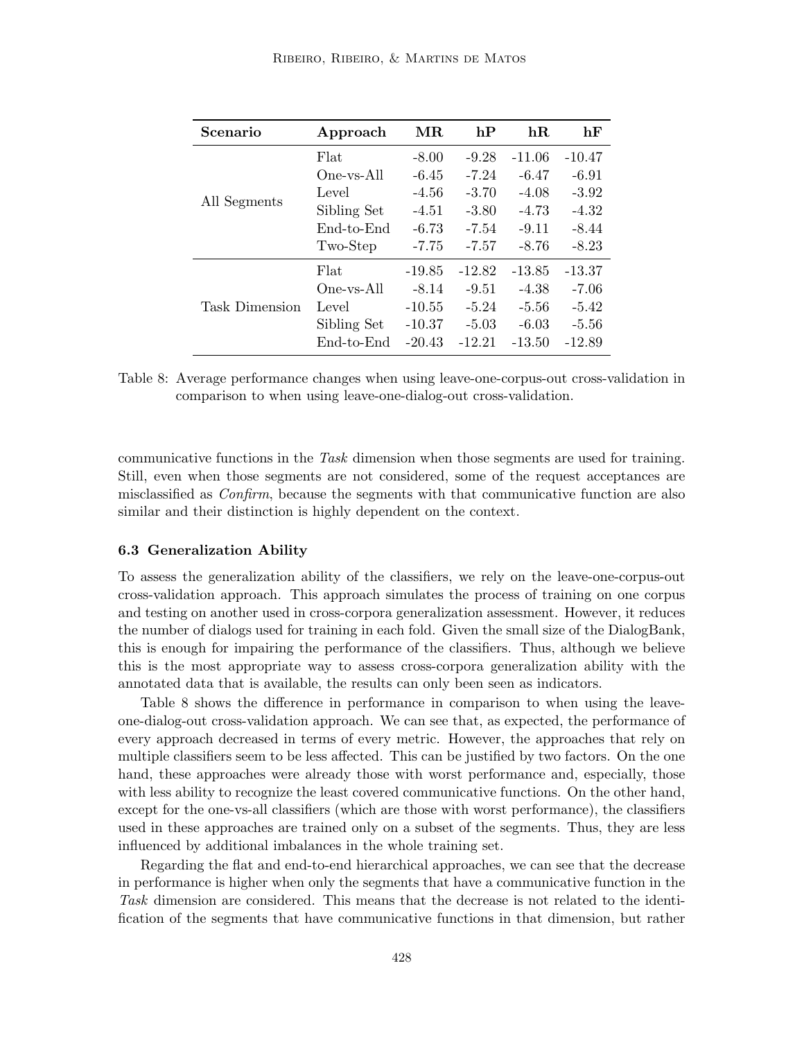| Scenario       | Approach    | MR.      | hP       | $\mathbf{h} \mathbf{R}$ | hF       |
|----------------|-------------|----------|----------|-------------------------|----------|
|                | Flat        | $-8.00$  | $-9.28$  | $-11.06$                | $-10.47$ |
|                | One-ys-All  | $-6.45$  | $-7.24$  | $-6.47$                 | $-6.91$  |
|                | Level       | $-4.56$  | $-3.70$  | $-4.08$                 | $-3.92$  |
| All Segments   | Sibling Set | $-4.51$  | $-3.80$  | $-4.73$                 | $-4.32$  |
|                | End-to-End  | $-6.73$  | $-7.54$  | $-9.11$                 | $-8.44$  |
|                | Two-Step    | $-7.75$  | $-7.57$  | $-8.76$                 | $-8.23$  |
|                | Flat        | $-19.85$ | $-12.82$ | $-13.85$                | $-13.37$ |
|                | One-vs-All  | $-8.14$  | $-9.51$  | $-4.38$                 | $-7.06$  |
| Task Dimension | Level       | $-10.55$ | $-5.24$  | $-5.56$                 | $-5.42$  |
|                | Sibling Set | $-10.37$ | $-5.03$  | $-6.03$                 | $-5.56$  |
|                | End-to-End  | $-20.43$ | $-12.21$ | $-13.50$                | $-12.89$ |

Table 8: Average performance changes when using leave-one-corpus-out cross-validation in comparison to when using leave-one-dialog-out cross-validation.

communicative functions in the Task dimension when those segments are used for training. Still, even when those segments are not considered, some of the request acceptances are misclassified as Confirm, because the segments with that communicative function are also similar and their distinction is highly dependent on the context.

#### 6.3 Generalization Ability

To assess the generalization ability of the classifiers, we rely on the leave-one-corpus-out cross-validation approach. This approach simulates the process of training on one corpus and testing on another used in cross-corpora generalization assessment. However, it reduces the number of dialogs used for training in each fold. Given the small size of the DialogBank, this is enough for impairing the performance of the classifiers. Thus, although we believe this is the most appropriate way to assess cross-corpora generalization ability with the annotated data that is available, the results can only been seen as indicators.

Table 8 shows the difference in performance in comparison to when using the leaveone-dialog-out cross-validation approach. We can see that, as expected, the performance of every approach decreased in terms of every metric. However, the approaches that rely on multiple classifiers seem to be less affected. This can be justified by two factors. On the one hand, these approaches were already those with worst performance and, especially, those with less ability to recognize the least covered communicative functions. On the other hand, except for the one-vs-all classifiers (which are those with worst performance), the classifiers used in these approaches are trained only on a subset of the segments. Thus, they are less influenced by additional imbalances in the whole training set.

Regarding the flat and end-to-end hierarchical approaches, we can see that the decrease in performance is higher when only the segments that have a communicative function in the Task dimension are considered. This means that the decrease is not related to the identification of the segments that have communicative functions in that dimension, but rather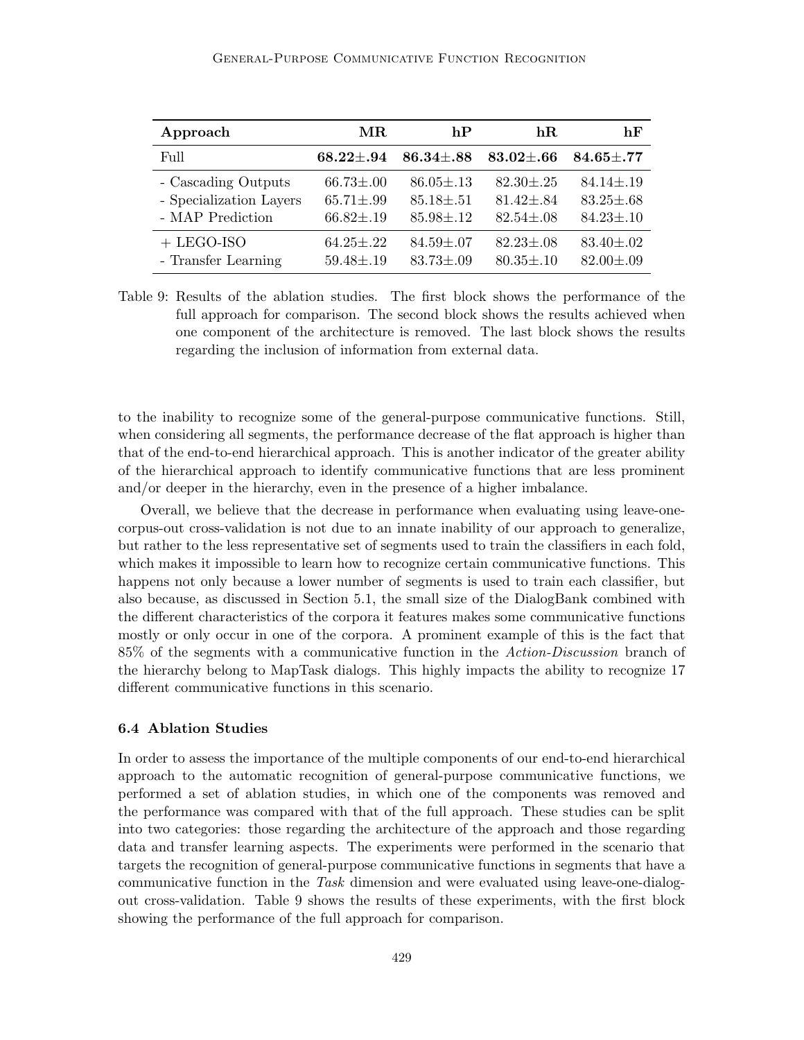### General-Purpose Communicative Function Recognition

| Approach                | MR.               | hP                | $\mathbf{h} \mathbf{R}$ | hF                |
|-------------------------|-------------------|-------------------|-------------------------|-------------------|
| Full                    | $68.22 {\pm} .94$ | $86.34 {\pm} .88$ | $83.02 {\pm} .66$       | $84.65 {\pm} .77$ |
| - Cascading Outputs     | $66.73 \pm .00$   | $86.05 \pm .13$   | $82.30 \pm .25$         | $84.14 \pm .19$   |
| - Specialization Layers | $65.71 {\pm} .99$ | $85.18 \pm .51$   | $81.42 \pm .84$         | $83.25 \pm .68$   |
| - MAP Prediction        | $66.82 \pm .19$   | $85.98 \pm .12$   | $82.54 \pm .08$         | $84.23 \pm .10$   |
| $+$ LEGO-ISO            | $64.25 \pm .22$   | $84.59 \pm .07$   | $82.23 \pm .08$         | $83.40 \pm .02$   |
| - Transfer Learning     | $59.48 \pm .19$   | $83.73 \pm .09$   | $80.35 \pm .10$         | $82.00 \pm .09$   |

Table 9: Results of the ablation studies. The first block shows the performance of the full approach for comparison. The second block shows the results achieved when one component of the architecture is removed. The last block shows the results regarding the inclusion of information from external data.

to the inability to recognize some of the general-purpose communicative functions. Still, when considering all segments, the performance decrease of the flat approach is higher than that of the end-to-end hierarchical approach. This is another indicator of the greater ability of the hierarchical approach to identify communicative functions that are less prominent and/or deeper in the hierarchy, even in the presence of a higher imbalance.

Overall, we believe that the decrease in performance when evaluating using leave-onecorpus-out cross-validation is not due to an innate inability of our approach to generalize, but rather to the less representative set of segments used to train the classifiers in each fold, which makes it impossible to learn how to recognize certain communicative functions. This happens not only because a lower number of segments is used to train each classifier, but also because, as discussed in Section 5.1, the small size of the DialogBank combined with the different characteristics of the corpora it features makes some communicative functions mostly or only occur in one of the corpora. A prominent example of this is the fact that 85% of the segments with a communicative function in the Action-Discussion branch of the hierarchy belong to MapTask dialogs. This highly impacts the ability to recognize 17 different communicative functions in this scenario.

## 6.4 Ablation Studies

In order to assess the importance of the multiple components of our end-to-end hierarchical approach to the automatic recognition of general-purpose communicative functions, we performed a set of ablation studies, in which one of the components was removed and the performance was compared with that of the full approach. These studies can be split into two categories: those regarding the architecture of the approach and those regarding data and transfer learning aspects. The experiments were performed in the scenario that targets the recognition of general-purpose communicative functions in segments that have a communicative function in the Task dimension and were evaluated using leave-one-dialogout cross-validation. Table 9 shows the results of these experiments, with the first block showing the performance of the full approach for comparison.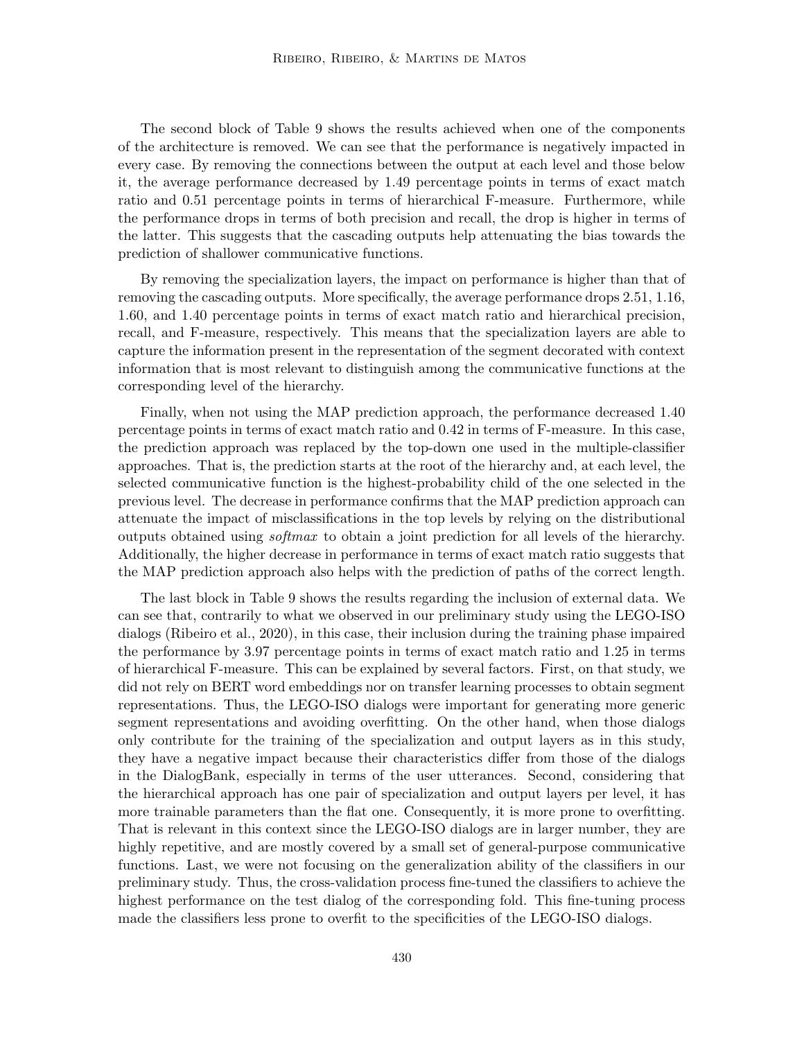The second block of Table 9 shows the results achieved when one of the components of the architecture is removed. We can see that the performance is negatively impacted in every case. By removing the connections between the output at each level and those below it, the average performance decreased by 1.49 percentage points in terms of exact match ratio and 0.51 percentage points in terms of hierarchical F-measure. Furthermore, while the performance drops in terms of both precision and recall, the drop is higher in terms of the latter. This suggests that the cascading outputs help attenuating the bias towards the prediction of shallower communicative functions.

By removing the specialization layers, the impact on performance is higher than that of removing the cascading outputs. More specifically, the average performance drops 2.51, 1.16, 1.60, and 1.40 percentage points in terms of exact match ratio and hierarchical precision, recall, and F-measure, respectively. This means that the specialization layers are able to capture the information present in the representation of the segment decorated with context information that is most relevant to distinguish among the communicative functions at the corresponding level of the hierarchy.

Finally, when not using the MAP prediction approach, the performance decreased 1.40 percentage points in terms of exact match ratio and 0.42 in terms of F-measure. In this case, the prediction approach was replaced by the top-down one used in the multiple-classifier approaches. That is, the prediction starts at the root of the hierarchy and, at each level, the selected communicative function is the highest-probability child of the one selected in the previous level. The decrease in performance confirms that the MAP prediction approach can attenuate the impact of misclassifications in the top levels by relying on the distributional outputs obtained using softmax to obtain a joint prediction for all levels of the hierarchy. Additionally, the higher decrease in performance in terms of exact match ratio suggests that the MAP prediction approach also helps with the prediction of paths of the correct length.

The last block in Table 9 shows the results regarding the inclusion of external data. We can see that, contrarily to what we observed in our preliminary study using the LEGO-ISO dialogs (Ribeiro et al., 2020), in this case, their inclusion during the training phase impaired the performance by 3.97 percentage points in terms of exact match ratio and 1.25 in terms of hierarchical F-measure. This can be explained by several factors. First, on that study, we did not rely on BERT word embeddings nor on transfer learning processes to obtain segment representations. Thus, the LEGO-ISO dialogs were important for generating more generic segment representations and avoiding overfitting. On the other hand, when those dialogs only contribute for the training of the specialization and output layers as in this study, they have a negative impact because their characteristics differ from those of the dialogs in the DialogBank, especially in terms of the user utterances. Second, considering that the hierarchical approach has one pair of specialization and output layers per level, it has more trainable parameters than the flat one. Consequently, it is more prone to overfitting. That is relevant in this context since the LEGO-ISO dialogs are in larger number, they are highly repetitive, and are mostly covered by a small set of general-purpose communicative functions. Last, we were not focusing on the generalization ability of the classifiers in our preliminary study. Thus, the cross-validation process fine-tuned the classifiers to achieve the highest performance on the test dialog of the corresponding fold. This fine-tuning process made the classifiers less prone to overfit to the specificities of the LEGO-ISO dialogs.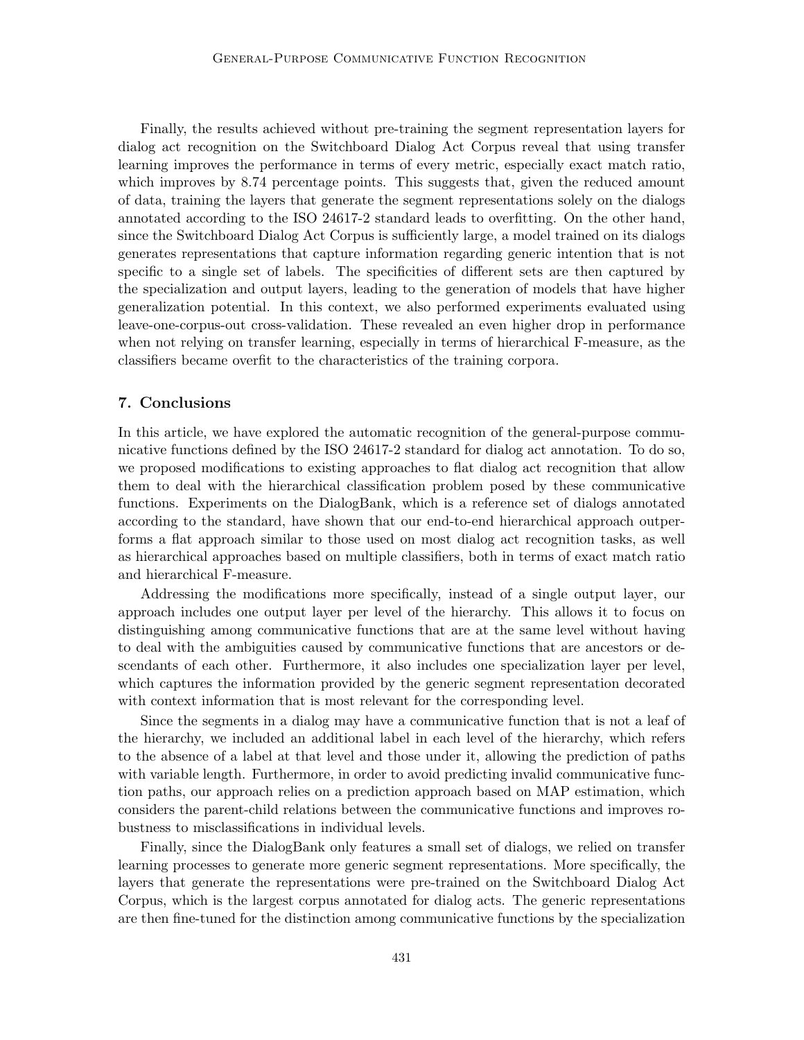Finally, the results achieved without pre-training the segment representation layers for dialog act recognition on the Switchboard Dialog Act Corpus reveal that using transfer learning improves the performance in terms of every metric, especially exact match ratio, which improves by 8.74 percentage points. This suggests that, given the reduced amount of data, training the layers that generate the segment representations solely on the dialogs annotated according to the ISO 24617-2 standard leads to overfitting. On the other hand, since the Switchboard Dialog Act Corpus is sufficiently large, a model trained on its dialogs generates representations that capture information regarding generic intention that is not specific to a single set of labels. The specificities of different sets are then captured by the specialization and output layers, leading to the generation of models that have higher generalization potential. In this context, we also performed experiments evaluated using leave-one-corpus-out cross-validation. These revealed an even higher drop in performance when not relying on transfer learning, especially in terms of hierarchical F-measure, as the classifiers became overfit to the characteristics of the training corpora.

# 7. Conclusions

In this article, we have explored the automatic recognition of the general-purpose communicative functions defined by the ISO 24617-2 standard for dialog act annotation. To do so, we proposed modifications to existing approaches to flat dialog act recognition that allow them to deal with the hierarchical classification problem posed by these communicative functions. Experiments on the DialogBank, which is a reference set of dialogs annotated according to the standard, have shown that our end-to-end hierarchical approach outperforms a flat approach similar to those used on most dialog act recognition tasks, as well as hierarchical approaches based on multiple classifiers, both in terms of exact match ratio and hierarchical F-measure.

Addressing the modifications more specifically, instead of a single output layer, our approach includes one output layer per level of the hierarchy. This allows it to focus on distinguishing among communicative functions that are at the same level without having to deal with the ambiguities caused by communicative functions that are ancestors or descendants of each other. Furthermore, it also includes one specialization layer per level, which captures the information provided by the generic segment representation decorated with context information that is most relevant for the corresponding level.

Since the segments in a dialog may have a communicative function that is not a leaf of the hierarchy, we included an additional label in each level of the hierarchy, which refers to the absence of a label at that level and those under it, allowing the prediction of paths with variable length. Furthermore, in order to avoid predicting invalid communicative function paths, our approach relies on a prediction approach based on MAP estimation, which considers the parent-child relations between the communicative functions and improves robustness to misclassifications in individual levels.

Finally, since the DialogBank only features a small set of dialogs, we relied on transfer learning processes to generate more generic segment representations. More specifically, the layers that generate the representations were pre-trained on the Switchboard Dialog Act Corpus, which is the largest corpus annotated for dialog acts. The generic representations are then fine-tuned for the distinction among communicative functions by the specialization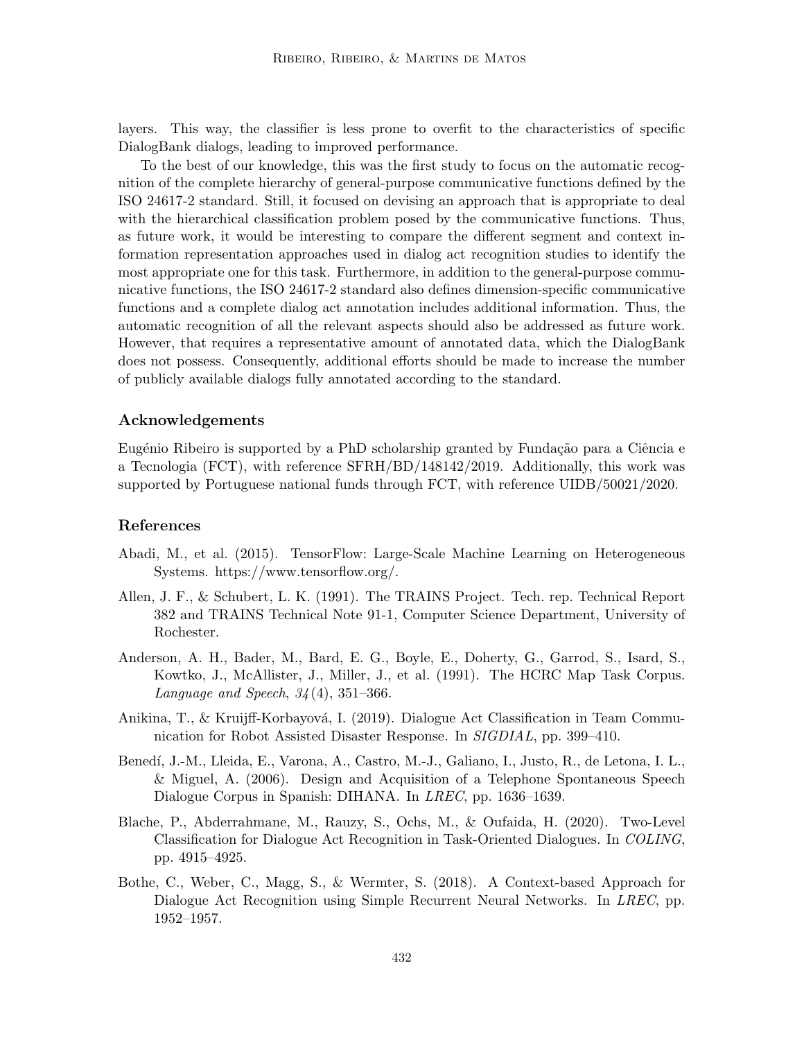layers. This way, the classifier is less prone to overfit to the characteristics of specific DialogBank dialogs, leading to improved performance.

To the best of our knowledge, this was the first study to focus on the automatic recognition of the complete hierarchy of general-purpose communicative functions defined by the ISO 24617-2 standard. Still, it focused on devising an approach that is appropriate to deal with the hierarchical classification problem posed by the communicative functions. Thus, as future work, it would be interesting to compare the different segment and context information representation approaches used in dialog act recognition studies to identify the most appropriate one for this task. Furthermore, in addition to the general-purpose communicative functions, the ISO 24617-2 standard also defines dimension-specific communicative functions and a complete dialog act annotation includes additional information. Thus, the automatic recognition of all the relevant aspects should also be addressed as future work. However, that requires a representative amount of annotated data, which the DialogBank does not possess. Consequently, additional efforts should be made to increase the number of publicly available dialogs fully annotated according to the standard.

## Acknowledgements

Eugénio Ribeiro is supported by a PhD scholarship granted by Fundação para a Ciência e a Tecnologia (FCT), with reference SFRH/BD/148142/2019. Additionally, this work was supported by Portuguese national funds through FCT, with reference UIDB/50021/2020.

# References

- Abadi, M., et al. (2015). TensorFlow: Large-Scale Machine Learning on Heterogeneous Systems. https://www.tensorflow.org/.
- Allen, J. F., & Schubert, L. K. (1991). The TRAINS Project. Tech. rep. Technical Report 382 and TRAINS Technical Note 91-1, Computer Science Department, University of Rochester.
- Anderson, A. H., Bader, M., Bard, E. G., Boyle, E., Doherty, G., Garrod, S., Isard, S., Kowtko, J., McAllister, J., Miller, J., et al. (1991). The HCRC Map Task Corpus. Language and Speech,  $34(4)$ , 351–366.
- Anikina, T., & Kruijff-Korbayová, I. (2019). Dialogue Act Classification in Team Communication for Robot Assisted Disaster Response. In SIGDIAL, pp. 399–410.
- Bened´ı, J.-M., Lleida, E., Varona, A., Castro, M.-J., Galiano, I., Justo, R., de Letona, I. L., & Miguel, A. (2006). Design and Acquisition of a Telephone Spontaneous Speech Dialogue Corpus in Spanish: DIHANA. In LREC, pp. 1636–1639.
- Blache, P., Abderrahmane, M., Rauzy, S., Ochs, M., & Oufaida, H. (2020). Two-Level Classification for Dialogue Act Recognition in Task-Oriented Dialogues. In COLING, pp. 4915–4925.
- Bothe, C., Weber, C., Magg, S., & Wermter, S. (2018). A Context-based Approach for Dialogue Act Recognition using Simple Recurrent Neural Networks. In *LREC*, pp. 1952–1957.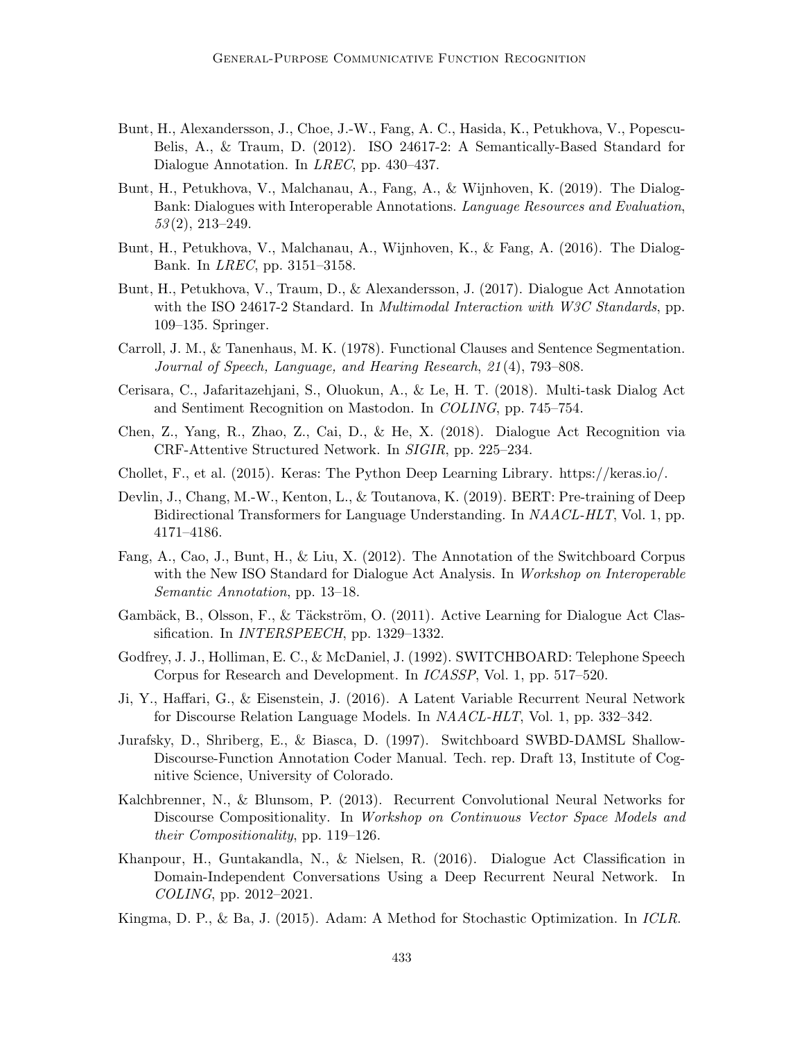- Bunt, H., Alexandersson, J., Choe, J.-W., Fang, A. C., Hasida, K., Petukhova, V., Popescu-Belis, A., & Traum, D. (2012). ISO 24617-2: A Semantically-Based Standard for Dialogue Annotation. In LREC, pp. 430–437.
- Bunt, H., Petukhova, V., Malchanau, A., Fang, A., & Wijnhoven, K. (2019). The Dialog-Bank: Dialogues with Interoperable Annotations. Language Resources and Evaluation,  $53(2), 213-249.$
- Bunt, H., Petukhova, V., Malchanau, A., Wijnhoven, K., & Fang, A. (2016). The Dialog-Bank. In LREC, pp. 3151–3158.
- Bunt, H., Petukhova, V., Traum, D., & Alexandersson, J. (2017). Dialogue Act Annotation with the ISO 24617-2 Standard. In *Multimodal Interaction with W3C Standards*, pp. 109–135. Springer.
- Carroll, J. M., & Tanenhaus, M. K. (1978). Functional Clauses and Sentence Segmentation. Journal of Speech, Language, and Hearing Research, 21 (4), 793–808.
- Cerisara, C., Jafaritazehjani, S., Oluokun, A., & Le, H. T. (2018). Multi-task Dialog Act and Sentiment Recognition on Mastodon. In COLING, pp. 745–754.
- Chen, Z., Yang, R., Zhao, Z., Cai, D., & He, X. (2018). Dialogue Act Recognition via CRF-Attentive Structured Network. In SIGIR, pp. 225–234.
- Chollet, F., et al. (2015). Keras: The Python Deep Learning Library. https://keras.io/.
- Devlin, J., Chang, M.-W., Kenton, L., & Toutanova, K. (2019). BERT: Pre-training of Deep Bidirectional Transformers for Language Understanding. In NAACL-HLT, Vol. 1, pp. 4171–4186.
- Fang, A., Cao, J., Bunt, H., & Liu, X. (2012). The Annotation of the Switchboard Corpus with the New ISO Standard for Dialogue Act Analysis. In *Workshop on Interoperable* Semantic Annotation, pp. 13–18.
- Gambäck, B., Olsson, F., & Täckström, O. (2011). Active Learning for Dialogue Act Classification. In *INTERSPEECH*, pp. 1329–1332.
- Godfrey, J. J., Holliman, E. C., & McDaniel, J. (1992). SWITCHBOARD: Telephone Speech Corpus for Research and Development. In ICASSP, Vol. 1, pp. 517–520.
- Ji, Y., Haffari, G., & Eisenstein, J. (2016). A Latent Variable Recurrent Neural Network for Discourse Relation Language Models. In NAACL-HLT, Vol. 1, pp. 332–342.
- Jurafsky, D., Shriberg, E., & Biasca, D. (1997). Switchboard SWBD-DAMSL Shallow-Discourse-Function Annotation Coder Manual. Tech. rep. Draft 13, Institute of Cognitive Science, University of Colorado.
- Kalchbrenner, N., & Blunsom, P. (2013). Recurrent Convolutional Neural Networks for Discourse Compositionality. In Workshop on Continuous Vector Space Models and their Compositionality, pp. 119–126.
- Khanpour, H., Guntakandla, N., & Nielsen, R. (2016). Dialogue Act Classification in Domain-Independent Conversations Using a Deep Recurrent Neural Network. In COLING, pp. 2012–2021.
- Kingma, D. P., & Ba, J. (2015). Adam: A Method for Stochastic Optimization. In ICLR.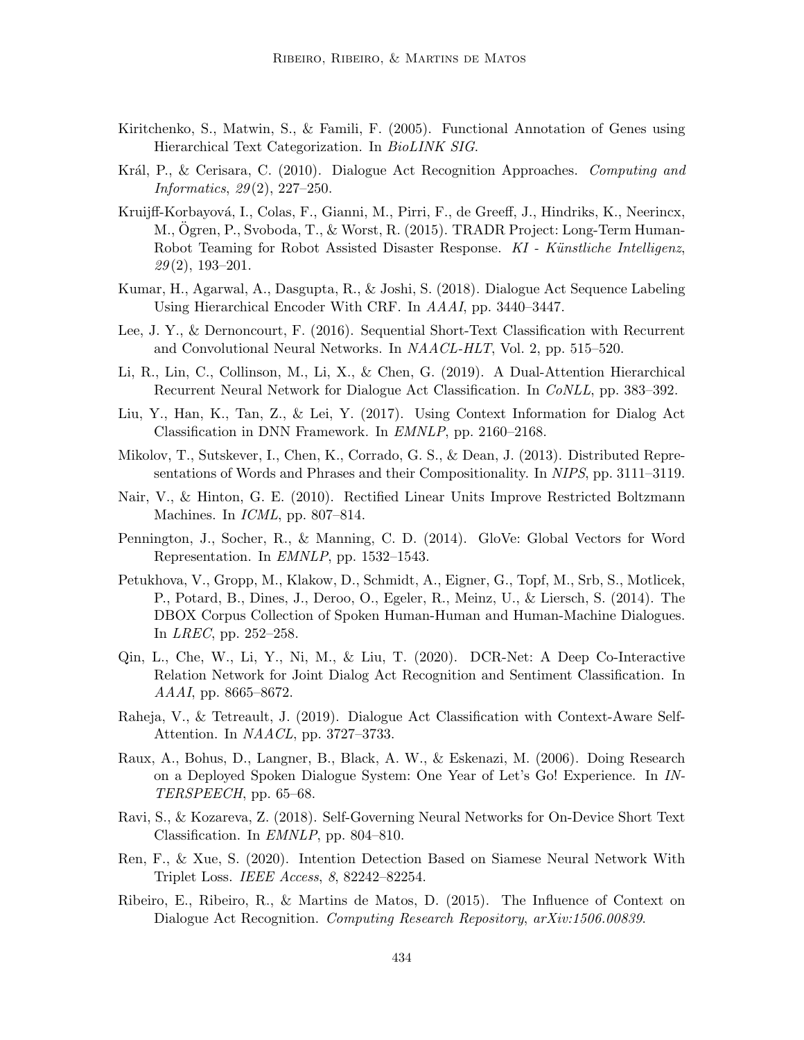- Kiritchenko, S., Matwin, S., & Famili, F. (2005). Functional Annotation of Genes using Hierarchical Text Categorization. In BioLINK SIG.
- Král, P., & Cerisara, C. (2010). Dialogue Act Recognition Approaches. Computing and Informatics, 29 (2), 227–250.
- Kruijff-Korbayová, I., Colas, F., Gianni, M., Pirri, F., de Greeff, J., Hindriks, K., Neerincx, M., Ogren, P., Svoboda, T., & Worst, R. (2015). TRADR Project: Long-Term Human-Robot Teaming for Robot Assisted Disaster Response. KI - Künstliche Intelligenz,  $29(2)$ , 193-201.
- Kumar, H., Agarwal, A., Dasgupta, R., & Joshi, S. (2018). Dialogue Act Sequence Labeling Using Hierarchical Encoder With CRF. In AAAI, pp. 3440–3447.
- Lee, J. Y., & Dernoncourt, F. (2016). Sequential Short-Text Classification with Recurrent and Convolutional Neural Networks. In NAACL-HLT, Vol. 2, pp. 515–520.
- Li, R., Lin, C., Collinson, M., Li, X., & Chen, G. (2019). A Dual-Attention Hierarchical Recurrent Neural Network for Dialogue Act Classification. In CoNLL, pp. 383–392.
- Liu, Y., Han, K., Tan, Z., & Lei, Y. (2017). Using Context Information for Dialog Act Classification in DNN Framework. In EMNLP, pp. 2160–2168.
- Mikolov, T., Sutskever, I., Chen, K., Corrado, G. S., & Dean, J. (2013). Distributed Representations of Words and Phrases and their Compositionality. In NIPS, pp. 3111–3119.
- Nair, V., & Hinton, G. E. (2010). Rectified Linear Units Improve Restricted Boltzmann Machines. In *ICML*, pp. 807–814.
- Pennington, J., Socher, R., & Manning, C. D. (2014). GloVe: Global Vectors for Word Representation. In EMNLP, pp. 1532–1543.
- Petukhova, V., Gropp, M., Klakow, D., Schmidt, A., Eigner, G., Topf, M., Srb, S., Motlicek, P., Potard, B., Dines, J., Deroo, O., Egeler, R., Meinz, U., & Liersch, S. (2014). The DBOX Corpus Collection of Spoken Human-Human and Human-Machine Dialogues. In LREC, pp. 252–258.
- Qin, L., Che, W., Li, Y., Ni, M., & Liu, T. (2020). DCR-Net: A Deep Co-Interactive Relation Network for Joint Dialog Act Recognition and Sentiment Classification. In AAAI, pp. 8665–8672.
- Raheja, V., & Tetreault, J. (2019). Dialogue Act Classification with Context-Aware Self-Attention. In NAACL, pp. 3727–3733.
- Raux, A., Bohus, D., Langner, B., Black, A. W., & Eskenazi, M. (2006). Doing Research on a Deployed Spoken Dialogue System: One Year of Let's Go! Experience. In IN-TERSPEECH, pp. 65–68.
- Ravi, S., & Kozareva, Z. (2018). Self-Governing Neural Networks for On-Device Short Text Classification. In EMNLP, pp. 804–810.
- Ren, F., & Xue, S. (2020). Intention Detection Based on Siamese Neural Network With Triplet Loss. IEEE Access, 8, 82242–82254.
- Ribeiro, E., Ribeiro, R., & Martins de Matos, D. (2015). The Influence of Context on Dialogue Act Recognition. Computing Research Repository,  $arXiv:1506.00839$ .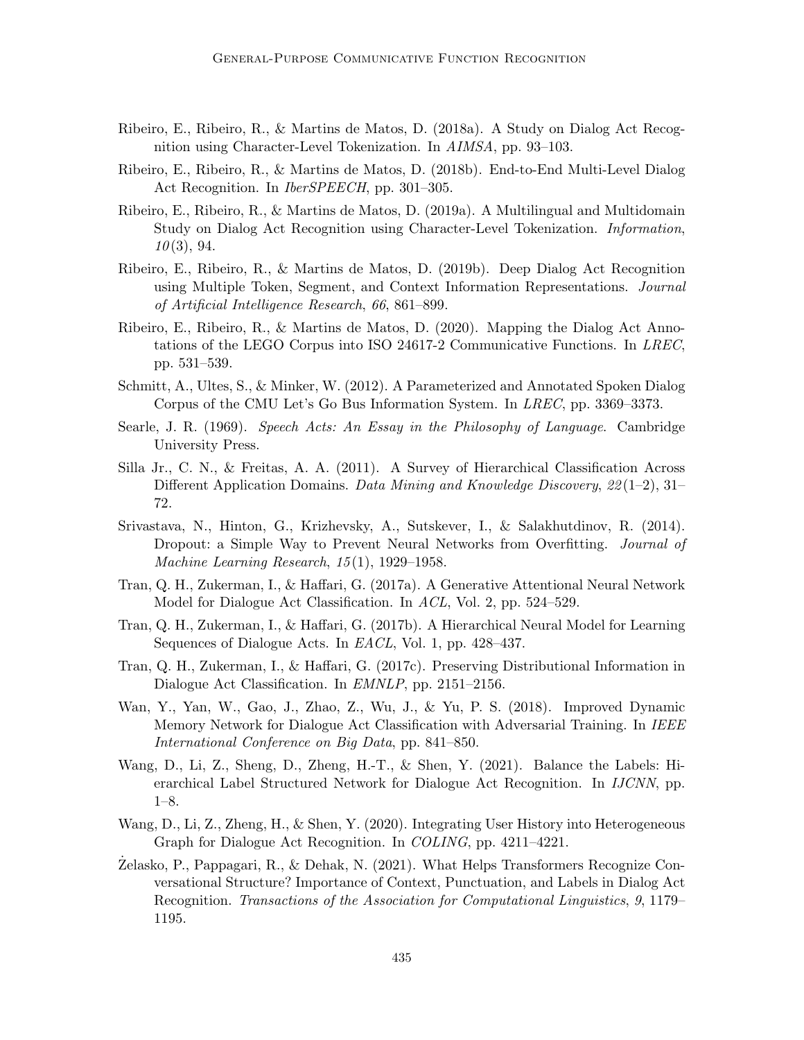- Ribeiro, E., Ribeiro, R., & Martins de Matos, D. (2018a). A Study on Dialog Act Recognition using Character-Level Tokenization. In AIMSA, pp. 93–103.
- Ribeiro, E., Ribeiro, R., & Martins de Matos, D. (2018b). End-to-End Multi-Level Dialog Act Recognition. In IberSPEECH, pp. 301–305.
- Ribeiro, E., Ribeiro, R., & Martins de Matos, D. (2019a). A Multilingual and Multidomain Study on Dialog Act Recognition using Character-Level Tokenization. Information,  $10(3), 94.$
- Ribeiro, E., Ribeiro, R., & Martins de Matos, D. (2019b). Deep Dialog Act Recognition using Multiple Token, Segment, and Context Information Representations. Journal of Artificial Intelligence Research, 66, 861–899.
- Ribeiro, E., Ribeiro, R., & Martins de Matos, D. (2020). Mapping the Dialog Act Annotations of the LEGO Corpus into ISO 24617-2 Communicative Functions. In LREC, pp. 531–539.
- Schmitt, A., Ultes, S., & Minker, W. (2012). A Parameterized and Annotated Spoken Dialog Corpus of the CMU Let's Go Bus Information System. In LREC, pp. 3369–3373.
- Searle, J. R. (1969). Speech Acts: An Essay in the Philosophy of Language. Cambridge University Press.
- Silla Jr., C. N., & Freitas, A. A. (2011). A Survey of Hierarchical Classification Across Different Application Domains. Data Mining and Knowledge Discovery,  $22(1-2)$ , 31– 72.
- Srivastava, N., Hinton, G., Krizhevsky, A., Sutskever, I., & Salakhutdinov, R. (2014). Dropout: a Simple Way to Prevent Neural Networks from Overfitting. *Journal of* Machine Learning Research, 15 (1), 1929–1958.
- Tran, Q. H., Zukerman, I., & Haffari, G. (2017a). A Generative Attentional Neural Network Model for Dialogue Act Classification. In ACL, Vol. 2, pp. 524–529.
- Tran, Q. H., Zukerman, I., & Haffari, G. (2017b). A Hierarchical Neural Model for Learning Sequences of Dialogue Acts. In *EACL*, Vol. 1, pp. 428–437.
- Tran, Q. H., Zukerman, I., & Haffari, G. (2017c). Preserving Distributional Information in Dialogue Act Classification. In EMNLP, pp. 2151–2156.
- Wan, Y., Yan, W., Gao, J., Zhao, Z., Wu, J., & Yu, P. S. (2018). Improved Dynamic Memory Network for Dialogue Act Classification with Adversarial Training. In IEEE International Conference on Big Data, pp. 841–850.
- Wang, D., Li, Z., Sheng, D., Zheng, H.-T., & Shen, Y. (2021). Balance the Labels: Hierarchical Label Structured Network for Dialogue Act Recognition. In IJCNN, pp. 1–8.
- Wang, D., Li, Z., Zheng, H., & Shen, Y. (2020). Integrating User History into Heterogeneous Graph for Dialogue Act Recognition. In COLING, pp. 4211–4221.
- $\rm Zelassko$ , P., Pappagari, R., & Dehak, N. (2021). What Helps Transformers Recognize Conversational Structure? Importance of Context, Punctuation, and Labels in Dialog Act Recognition. Transactions of the Association for Computational Linguistics, 9, 1179– 1195.